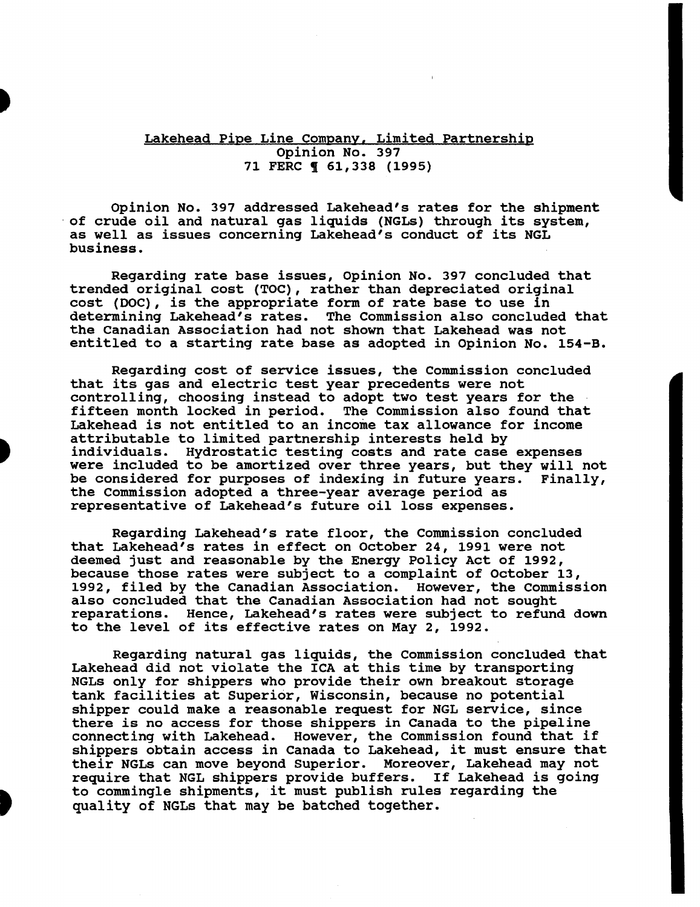## Lakehead Pipe Line Company. Limited Partnership Opinion No. 397 71 FERC ¶ 61,338 (1995)

Opinion No. 397 addressed Lakehead's rates for the shipment of crude oil and natural gas liquids (NGLs) through its system, as well as issues concerning Lakehead's conduct of its NGL business.

Regarding rate base issues, Opinion No. 397 concluded that trended original cost (TOC), rather than depreciated original cost (DOC), is the appropriate form of rate base to use in The Commission also concluded that the Canadian Association had not shown that Lakehead was not entitled to a starting rate base as adopted in Opinion No. 154-B.

Regarding cost of service issues, the Commission concluded that its gas and electric test year precedents were not controlling, choosing instead to adopt two test years for the fifteen month locked in period. The Commission also found that The Commission also found that Lakehead is not entitled to an income tax allowance for income attributable to limited partnership interests held by individuals. Hydrostatic testing costs and rate case expenses were included to be amortized over three years, but they will not<br>be considered for purposes of indexing in future years. Finally, be considered for purposes of indexing in future years. the Commission adopted a three-year average period as representative of Lakehead's future oil loss expenses.

Regarding Lakehead's rate floor, the Commission concluded that Lakehead's rates in effect on October 24, 1991 were not deemed just and reasonable by the Energy Policy Act of 1992, because those rates were subject to a complaint of October 13, 1992, filed by the Canadian Association. However, the Commission also concluded that the Canadian Association had not sought reparations. Hence, Lakehead's rates were subject to refund down to the level of its effective rates on May 2, 1992.

Regarding natural gas liquids, the Commission concluded that Lakehead did not violate the ICA at this time by transporting NGLs only for shippers who provide their own breakout storage tank facilities at Superior, Wisconsin, because no potential shipper could make a reasonable request for NGL service, since there is no access for those shippers in Canada to the pipeline connecting with Lakehead. However, the Commission found that if shippers obtain access in Canada to Lakehead, it must ensure that their NGLs can move beyond Superior. Moreover, Lakehead may not require that NGL shippers provide buffers. If Lakehead is going to commingle shipments, it must publish rules regarding the quality of NGLs that may be batched together.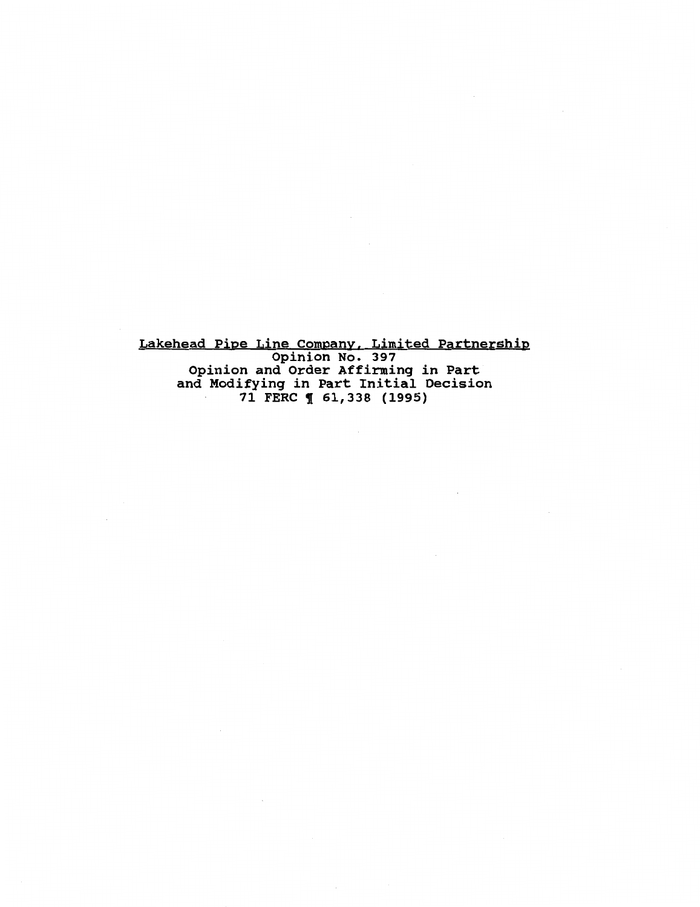Lakehead Pipe Line Company, Limited Partnership Opinion No. 397 Opinion and Order Affirming in Part and Modifying in Part Initial Decision 71 FERC ¶ 61,338 (1995)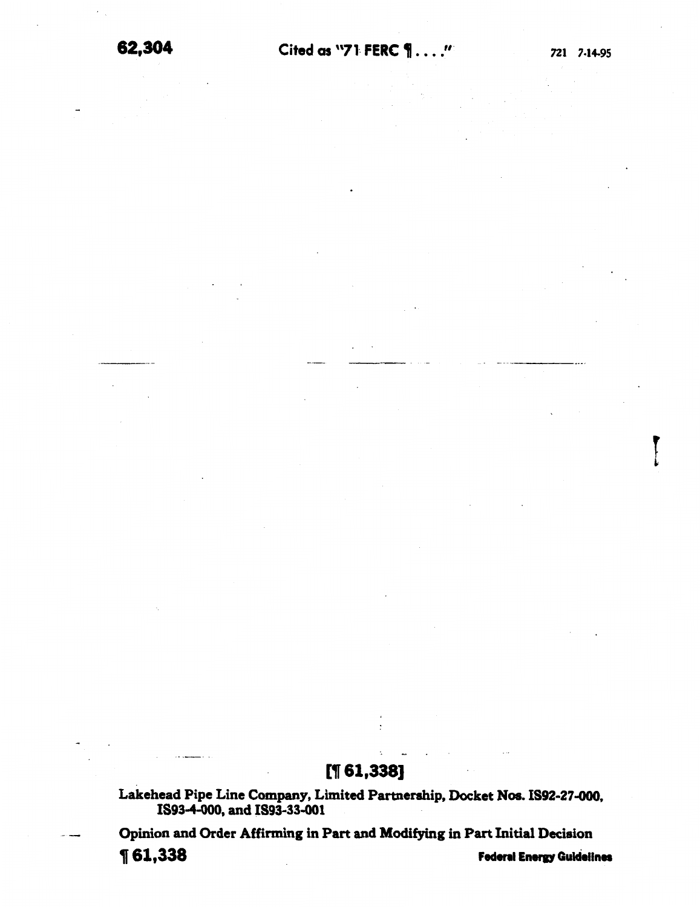# $[$ [1 $61,338]$ ]

Lakehead Pipe Line Company, Limited Partnership, Docket Nos. 1892-27.000, 1893-4-000, and 1893-33.001

Opinion and Order Affirming in Part and Modifying in Part Initial Decision

1 61,338 Federal Energy Guidelines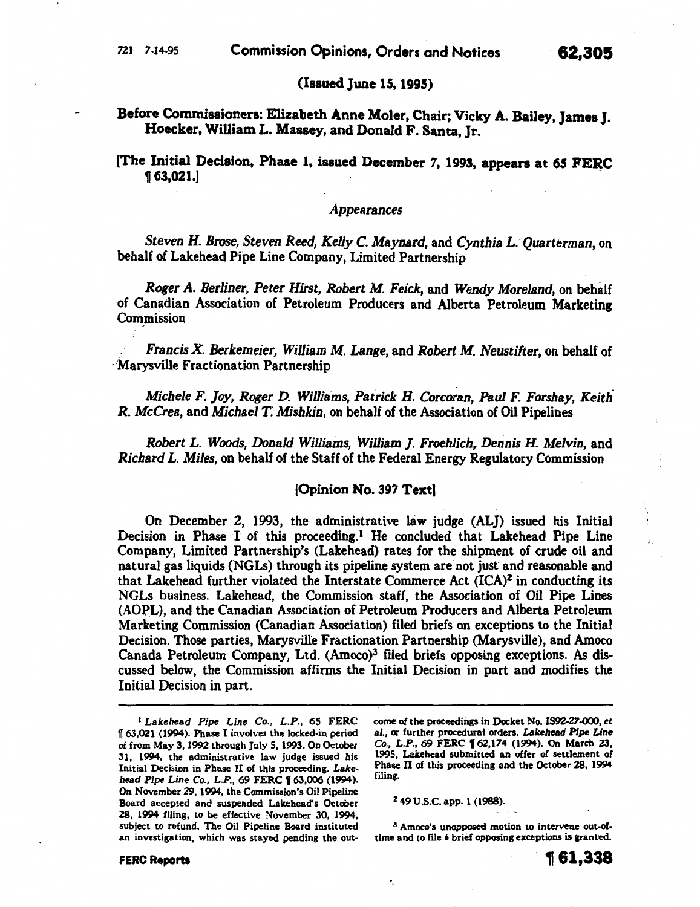[The Initial Decision, Phase 1, issued December 7, 1993, appears at 65 FERC  $\P$  63,021.]

#### *Appearances*

*Steven H. Brose, Steven Reed, Kelly* C. Maynard, and *Cynthia L. Quarterman,* on behalf of Lakehead Pipe Line Company, Limited Partnership

*Roger A. Berliner, Peter Hirst, Robert M. Feick,.* and *Wendy Moreland,* on behalf of Canadian Association of Petroleum Producers and Alberta Petroleum Marketing Commission

. *Francis X. Berkemeier, William M. Lange,* and *Robert M. Neustifter,* on behalf of 'Marysville Fractionation Partnership

*Michele F. joy, Roger D. Williams, Patrick H. Corcoran, Paul F. Forshay, Keith. R. McCrea,* and *Michael T; Mishkin,* on behalf of the Association of Oil Pipelines

*Robert L. Woods, Donald Williams, William ]. Froehlich, Dennis H. Melvin,* and *Richard L. Miles,* on behalf of the Staff of the Federal Energy Regulatory Commission

#### [Opinion No. 397 Text)

On December 2, 1993, the administrative law judge (ALJ) issued his Initial Decision in Phase I of this proceeding.<sup>1</sup> He concluded that Lakehead Pipe Line Company, Limited Partnership's (Lakehead) rates for the shipment of crude oil and natural gas liquids (NGLs) through its pipeline system are not just and reasonable and that Lakehead further violated the Interstate Commerce Act (ICA)2 in conducting its NGLs business. Lakehead, the Commission staff, the Association of Oil Pipe Lines (AOPL), and the Canadian Association of Petroleum Producers and Alberta Petroleum Marketing Commission (Canadian Association) filed briefs on exceptions to the Initial Decision. Those parties, Marysville Fractionation Partnership (Marysville), and Amoco Canada Petroleum Company, Ltd. (Amoco)3 filed briefs opposing exceptions. As discussed below, the Commission affirms the Initial Decision in part and modifies the Initial Decision in part.

come of the proceedings in Docket No. 1592-27-000, et al., or further procedural orders. *Lakehead Pipe Line* Co., L.P., 69 FERC 162,174 (1994). On March 23, 1995, Lakehead submitted an offer of settlement of Phase II of this proceeding and the October 28, 1994 filing.

2 49 U.S.C. app. 1 (1988).

3 Amoco's unopposed motion to intervene out-oftime and to file a brief opposing exceptions is granted.

<sup>1</sup>*Lakehead Pipe Line* Co., *L.P.,* 65 FERC 1!63,021 (1994). Phase I involves the locked-in period of from May 3, 1992 through July 5, 1993. On October 31, 1994, the administrative law judge issued his Initial Decision in Phase II of this proceeding. *Lakehead Pipe Line* Co., *L.P.,* 69 FERC 1[63,006 (1994). On November 29, 1994, the Commission's Oil Pipeline Board accepted and suspended Lakehead's October ZS, 1994 filing, to be effective November 30, 1994, subject to refund. The Oil Pipeline Board instituted an investigation, which was stayed pending the out-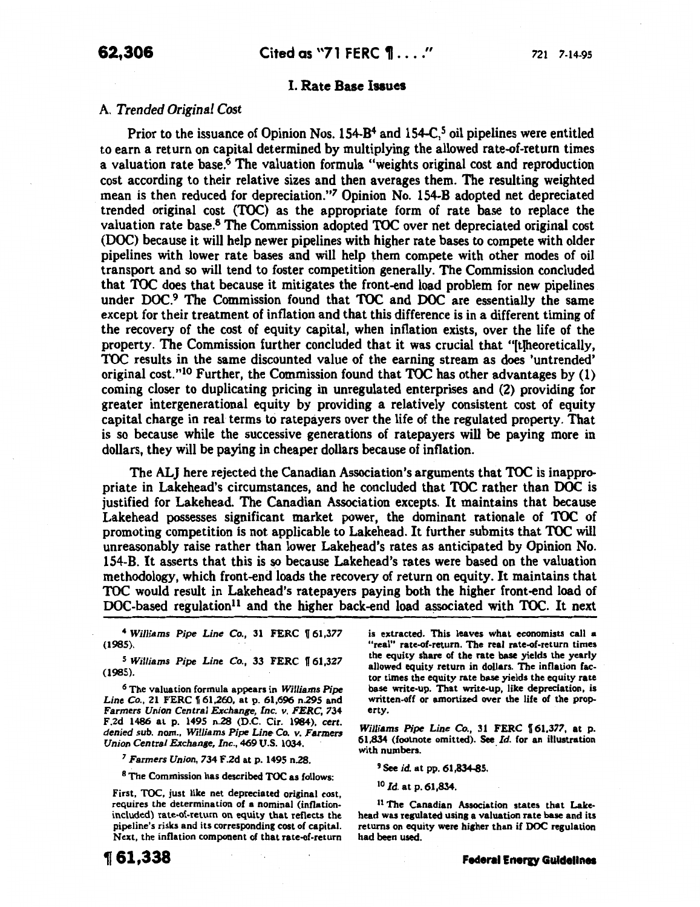## I. Rate Base Issues

## A. *Trended Original Cost*

Prior to the issuance of Opinion Nos. 154-B<sup>4</sup> and 154-C,<sup>5</sup> oil pipelines were entitled to earn a return on capital determined by multiplying the allowed rate-of-return times a valuation rate base.<sup>6</sup> The valuation formula "weights original cost and reproduction cost according to their relative sizes and then averages them. The resulting weighted mean is then reduced for depreciation."7 Opinion No. 154-B adopted net depreciated trended original cost (TOC) as the appropriate form of rate base to replace the valuation rate base.8 The Commission adopted TOC over net depreciated original cost (DOC) because it will help newer pipelines with higher rate bases to compete with older pipelines with lower rate bases and will help them compete with other modes of oil transport and so will tend to foster competition generally. The Commission concluded that TOC does that because it mitigates the front-end load problem for new pipelines under DOC.9 The Commission found that TOC and DOC are essentially the same except for their treatment of inflation and that this difference is in a different timing of the recovery of the cost of equity capital, when inflation exists, over the life of the property. The Commission further concluded that it was crucial that "[t]heoretically, TOC results in the same discounted value of the earning stream as does 'untrended' original cost."<sup>10</sup> Further, the Commission found that TOC has other advantages by (1) coming closer to duplicating pricing in unregulated enterprises and (2) providing for greater intergenerational equity by providing a relatively consistent cost of equity capital charge in real terms to ratepayers over the life of the regulated property. That is so because while the successive generations of ratepayers will be paying more in dollars, they will be paying in cheaper dollars because of inflation.

The ALJ here rejected the Canadian Association's arguments that TOC is inappropriate in Lakehead's circumstances, and he concluded that TOC rather than DOC is justified for Lakehead. The Canadian Association excepts. It maintains that because Lakehead possesses significant market power, the dominant rationale of TOC of promoting competition is not applicable to Lakehead. It further submits that TOC will unreasonably raise rather than lower Lakehead's rates as anticipated by Opinion No. 154-B. It asserts that this is so because Lakehead's rates were based on the valuation methodology, which front-end loads the recovery of return on equity. It maintains that TOC would result in Lakehead's ratepayers paying both the higher front-end load of DOC-based regulation<sup>11</sup> and the higher back-end load associated with TOC. It next

<sup>4</sup> Williams Pipe Line Co., 31 FERC 161,377  $(1985).$ 

<sup>5</sup> Williams Pipe Line Co., 33 FERC 161,327 (1985).

*<sup>6</sup>*The valuation formula appears in *Williams Pipe Line Co.*, 21 FERC 161,260, at p. 61,696 n.295 and *Farmers Union Central Exchange, Inc. v. FERC,* 734 F.2d 1486 at p. 1495 n.28 (D.C. Cir. 1984), *cert. denied sub. nom., Williams Pipe Line Co. v. Farmers Union Central Exchange, Inc.,* 469 U.S. 1034.

<sup>1</sup>*Farmers Union,* 734 F.2d at p. 1495 n.28.

8 The Commission has described TOC as follows:

First, TOC, just like net depreciated original cost, requires the determination of a nominal (inflationincluded) rate-of-return on equity that reflects the pipeline's risks and its corresponding cost of capital. Next, the inflation component of that rate-of-return is extracted. This leaves what economists call a "real" rate-of-return. The real rate-of-return times the equity share of the rate base yields the yearly allowed equity return in dollars. The inflation factor times the equity rate base yields the equity rate base write-up. That write-up, like depreciation, is written-off or amortized over the life of the property.

*Williams Pipe Line Co.*, 31 FERC 161,377, at p. 61,834 (footnote omitted). See *Id.* for an illustration with numbers.

<sup>9</sup>See *id.* at pp. 61,834-85.

<sup>10</sup>*Id.* at p. 61,834.

11 The Canadian Association states that Lakehead was regulated using a valuation rate base and its returns on equity were higher than if DOC regulation had been used.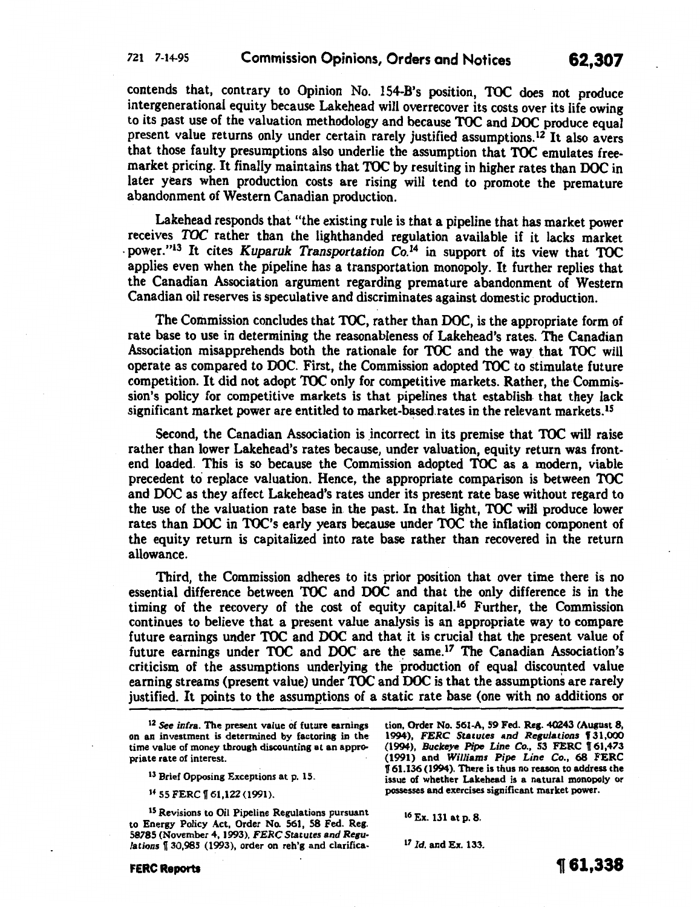contends that, contrary to Opinion No. 154-B's position, TOC does not produce intergenerational equity because Lakehead will overrecover its costs over its life owing to its past use of the valuation methodology and because TOC and DOC produce equal present value returns only under certain rarely justified assumptions.<sup>12</sup> It also avers that those faulty presumptions also underlie the assumption that TOC emulates freemarket pricing. It finally maintains that TOC by resulting in higher rates than DOC in later years when production costs are rising will tend to promote the premature abandonment of Western Canadian production.

Lakehead responds that "the existing rule is that a pipeline that has market power receives TOC rather than the lighthanded regulation available if it lacks market . power."13 It cites *Kuparuk Transportation* Co.l4 in support of its view that TOC applies even when the pipeline has a transportation monopoly. It further replies that the Canadian Association argument regarding premature abandonment of Western Canadian oil reserves is speculative and discriminates against domestic production.

The Commission concludes that TOC, rather than DOC, is the appropriate form of rate base to use in determining the reasonableness of Lakehead's rates. The Canadian Association misapprehends both the rationale for TOC and the way that TOC will operate as compared to DOC. First, the Commission adopted TOC to stimulate future competition. It did not adopt TOC only for competitive markets. Rather, the Commission's policy for competitive markets is that pipelines that establish. that they lack significant market power are entitled to market-based rates in the relevant markets.<sup>15</sup>

Second, the Canadian Association is incorrect in its premise that TOC will raise rather than lower Lakehead's rates because, under valuation, equity return was frontend loaded. This is so because the Commission adopted TOC as a modern, viable precedent to replace valuation. Hence, the appropriate comparison is between TOC and DOC as they affect Lakehead's rates under its present rate base without regard to the use of the valuation rate base in the past. In that light, TOC will produce lower rates than DOC in TOC's early years because under TOC the inflation component of the equity return is capitalized into rate base rather than recovered in the return allowance.

Third, the Commission adheres to its prior position that over time there is no essential difference between TOC and DOC and that the only difference is in the timing of the recovery of the cost of equity capita1.16 Further, the Commission continues to believe that a present value analysis is an appropriate way to compare future earnings under TOC and DOC and that it is crucial that the present value of future earnings under TOC and DOC are the same.<sup>17</sup> The Canadian Association's criticism of the assumptions underlying the production of equal discounted value earning streams (present value) under TOC and DOC is that the assumptions are rarely justified. It points to the assumptions of a static rate base (one with no additions or

14 55 FERC | 61,122 (1991).

15 Revisions to Oil Pipeline Regulations pursuant to Energy Policy Act, Order No. 561, 58 Fed. Reg. 58785 (November 4, 1993), *FERC Statutes* and *Regulations* **1**[30,985 (1993), order on reh'g and clarification, Order No. 561-A, 59 Fed. Res. 40243 (August 8, 1994), FERC Statutes and Regulations § 31,000 (1994), *Buckeye Pipe Line Co.*, 53 FERC 161,473 (1991) and *Williams Pipe* Line Co., 68 FERC 1[61.136(1994). There is thus no reason to address the issue of whether Lakehead is a natural monopoly or possesses and exercises significant market power.

,  $\mathbf{A}$  ,  $\mathbf{A}$  ,  $\mathbf{A}$  ,  $\mathbf{A}$  ,  $\mathbf{A}$  ,  $\mathbf{A}$  ,  $\mathbf{A}$  ,  $\mathbf{A}$  ,  $\mathbf{A}$  ,  $\mathbf{A}$  ,  $\mathbf{A}$  ,  $\mathbf{A}$  ,  $\mathbf{A}$  ,  $\mathbf{A}$  ,  $\mathbf{A}$  ,  $\mathbf{A}$  ,  $\mathbf{A}$  ,  $\mathbf{A}$  ,  $\mathbf{A}$  ,  $\mathbf{A}$  ,

16 Ex. 131 at p. 8.

<sup>17</sup>*Id.* and Ex. 133.

<sup>12</sup> See *infra.* The present value of future earnings on an investment is determined by factoring in the time value of money through discounting at an appropriate rate of interest.

<sup>&</sup>lt;sup>13</sup> Brief Opposing Exceptions at p. 15.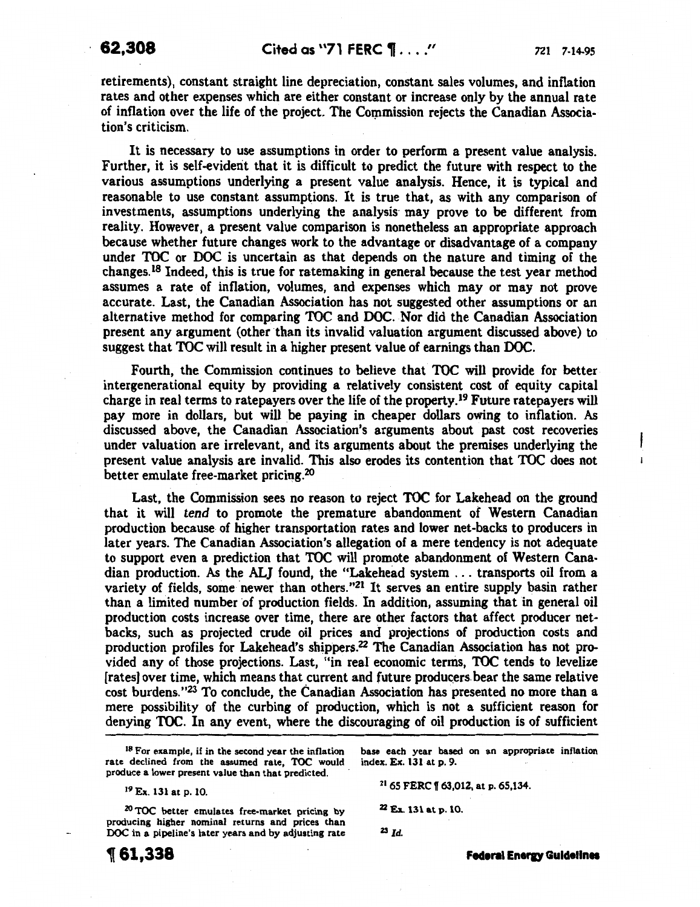$\mathbf{i}$ 

retirements), constant straight line depreciation, constant sales volumes, and inflation rates and other expenses which are either constant or increase only by the annual rate of inflation over the life of the project. The Commission rejects the Canadian Association's criticism.

It is necessary to use assumptions in order to perform a present value analysis. Further, it is self-evident that it is difficult to predict the future with respect to the various assumptions underlying a present value analysis. Hence, it is typical and reasonable to use constant assumptions. It is true that, as with any comparison of investments, assumptions underlying the analysis- may prove to be different from reality. However, a present value comparison is nonetheless an appropriate approach because whether future changes work to the advantage or disadvantage of a company under TOC or DOC is uncertain as that depends on the nature and timing of the changes.18 Indeed, this is true for ratemaking in general because the test year method assumes a rate of inflation, volumes, and expenses which may or may not prove accurate. Last, the Canadian Association has not suggested other assumptions or an alternative method for comparing TOC and DOC. Nor did the Canadian Association present any argument (other than its invalid valuation argument discussed above) to suggest that TOC will result in a higher present value of earnings than DOC.

Fourth, the Commission continues to believe that TOC will provide for better intergenerational equity by providing a relatively consistent cost of equity capital charge in real terms to ratepayers over the life of the property.19 Future ratepayers will pay more in dollars, but will be paying in cheaper dollars owing to inflation. As discussed above, the Canadian Association's arguments about past cost recoveries under valuation are irrelevant, and its arguments about the premises underlying the present value analysis are invalid. This also erodes its contention that TOC does not better emulate free-market pricing. $^{20}$ 

Last, the Commission sees no reason to reject TOC for Lakehead on the ground that it will tend to promote the premature abandonment of Western Canadian production because of higher transportation rates and lower net-backs to producers in later years. The Canadian Association's allegation of a mere tendency is not adequate to support even a prediction that TOC will promote abandonment of Western Canadian production. As the ALJ found, the "Lakehead system ... transports oil from a variety of fields, some newer than others."<sup>21</sup> It serves an entire supply basin rather than a limited number of production fields. In addition, assuming that in general oil production costs increase over time, there are other factors that affect producer netbacks, such as projected crude oil prices and projections of production costs and production profiles for Lakehead's shippers.22 The Canadian Association has not provided any of those projections. Last, "in real economic ternis, TOC tends to levelize [rates) over time, which means that current and future producers. bear the same relative cost burdens. "23 To conclude, the Canadian Association has presented no more than a mere possibility of the curbing of production, which is not a sufficient reason for denying TOC. In any event, where the discouraging of oil production is of sufficient

<sup>18</sup> For example, if in the second year the inflation rate declined from the assumed rate, TOC would produce a lower present value than that predicted.

19 Ex. 131 at p. 10.

, **61,338** 

base each year based on an appropriate inflation index. Ex. 131at p. 9.

21 65 FERC 1f 63,012, at p. 65,134.

Z2 Ex. 131 at p. 10.

<sup>23</sup>*Id.* 

<sup>20</sup>TOC better emulates free-market pricing by producing higher nominal returns and prices than DOC in a pipeline's later years and by adjusting rate

**Federal Energy Guidelines**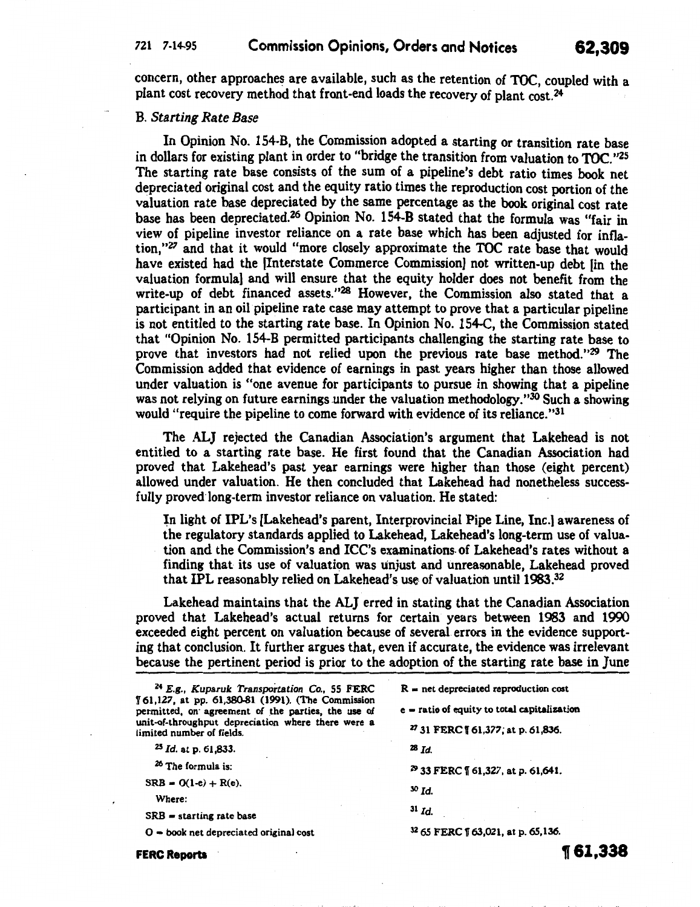## 721 7-14-95 Commission Opinions, Orders and Notices 62,309

11'61,338

concern, other approaches are available, such as the retention of TOC, coupled with a plant cost recovery method that front-end loads the recovery of plant cost.24

#### B. *Starting Rate Base*

In Opinion No. 154-B, the Commission adopted a starting or transition rate base in dollars for existing plant in order to "bridge the transition from valuation to TOC. "25 The starting rate base consists of the sum of a pipeline's debt ratio times book net depreciated original cost and the equity ratio times the reproduction cost portion of the valuation rate base depreciated by the same percentage as the book original cost rate base has been depreciated.26 Opinion No. 154-B stated that the formula was "fair in view of pipeline investor reliance on a rate base which has been adjusted for inflation, "27 and that it would "more closely approximate the TOC rate base that would have existed had the [Interstate Commerce Commission} not written-up debt [in the valuation formula} and will ensure that the equity holder does not benefit from the write-up of debt financed assets."<sup>28</sup> However, the Commission also stated that a participant in an oil pipeline rate case may attempt to prove that a particular pipeline is not entitled to the starting rate base. In Opinion No. 154-C, the Commission stated that "Opinion No. 154-B permitted participants challenging the starting rate base to prove that investors had not relied upon the previous rate base method."29 The Commission added that evidence of earnings in past years higher than those allowed under valuation is "one avenue for participants to pursue in showing that a pipeline was not relying on future earnings under the valuation methodology." $30$  Such a showing would "require the pipeline to come forward with evidence of its reliance."31

The ALJ rejected the Canadian Association's argument that Lakehead is not entitled to a starting rate base. He first found that the Canadian Association had proved that Lakehead's past year earnings were higher than those (eight percent) allowed under valuation. He then concluded that Lakehead had nonetheless successfully proved long-term investor reliance on valuation. He stated:

In light of IPL's [Lakehead's parent, Interprovincial Pipe Line, Inc.] awareness of the regulatory standards applied to Lakehead, Lakehead's long-term use of valuation and the Commission's and ICC's examinations. of Lakehead's rates without a finding that its use of valuation was unjust and unreasonable, Lakehead proved that IPL reasonably relied on Lakehead's use of valuation until 1983.<sup>32</sup>

Lakehead maintains that the ALJ erred in stating that the Canadian Association proved that Lakehead's actual returns for certain years between 1983 and 1990 exceeded eight percent on valuation because of several errors in the evidence supporting that conclusion. It further argues that, even if accurate, the evidence was irrelevant because the pertinent period is prior to the adoption of the starting rate base in June

| <sup>24</sup> E.g., Kuparuk Transportation Co., 55 FERC<br>161,127, at pp. 61,380-81 (1991). (The Commission<br>permitted, on agreement of the parties, the use of<br>unit-of-throughput depreciation where there were a<br>limited number of fields. | $R = net$ depreciated reproduction cost      |
|-------------------------------------------------------------------------------------------------------------------------------------------------------------------------------------------------------------------------------------------------------|----------------------------------------------|
|                                                                                                                                                                                                                                                       | e = ratio of equity to total capitalization  |
|                                                                                                                                                                                                                                                       | <sup>27</sup> 31 FERC 161,377; at p. 61,836. |
| $^{25}$ Id. at p. 61,833.                                                                                                                                                                                                                             | $28$ Id.                                     |
| <sup>26</sup> The formula is:                                                                                                                                                                                                                         | 29 33 FERC   61,327, at p. 61,641.           |
| $SRB = O(1-e) + R(e)$ .<br>Where:                                                                                                                                                                                                                     | $30$ $\mathbf{Id}$ .                         |
| $SRB = starting rate base$                                                                                                                                                                                                                            | $31$ Id.                                     |
| $O =$ book net depreciated original cost                                                                                                                                                                                                              | <sup>32</sup> 65 FERC [63,021, at p. 65,136. |

FERC Reports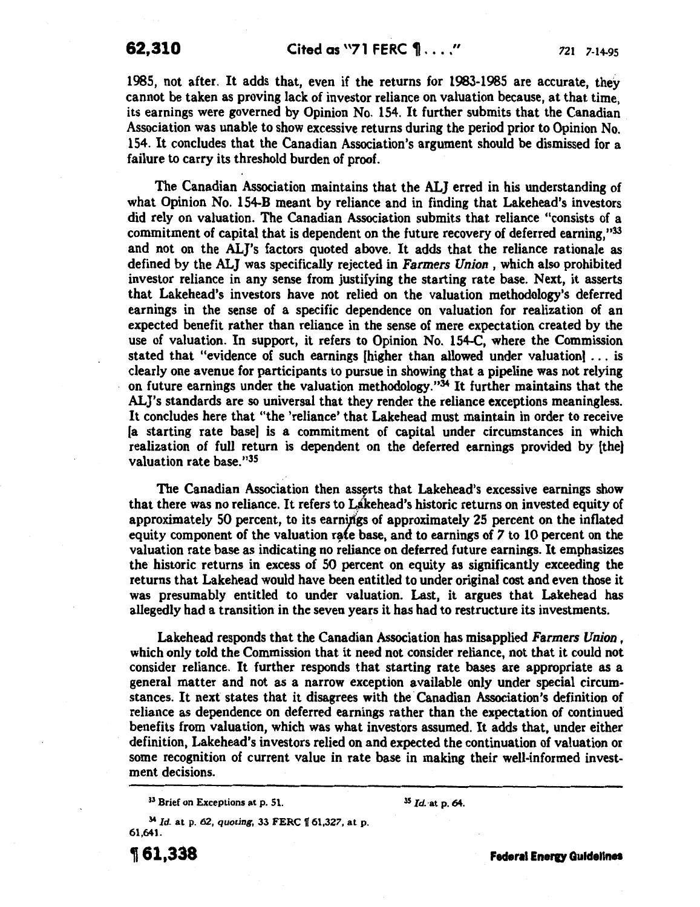1985, not after. It adds that, even if the returns for 1983-1985 are accurate, they cannot be taken as proving lack of investor reliance on valuation because, at that time, its earnings were governed by Opinion No. 154. It further submits that the Canadian Association was unable to show excessive returns during the period prior to Opinion No. 154. It concludes that the Canadian Association's argument should be dismissed for a failure to carry its threshold burden of proof.

The Canadian Association maintains that the ALJ erred in his understanding of what Opinion No. 154-B meant by reliance and in finding that Lakehead's investors did rely on valuation. The Canadian Association submits that reliance "consists of a commitment of capital that is dependent on the future recovery of deferred earning,"33 and not on the AL]'s factors quoted above. It adds that the reliance rationale as defined by the ALJ was specifically rejected in *Farmers Union,* which also prohibited investor reliance in any sense from justifying the starting rate base. Next, it asserts that Lakehead's investors have not relied on the valuation methodology's deferred earnings in the sense of a specific dependence on valuation for realization of an expected benefit rather than reliance in the sense of mere expectation created by the use of valuation. In support, it refers to Opinion No. 154-C, where the Commission stated that "evidence of such earnings [higher than allowed under valuation] ... is clearly one avenue for participants to pursue in showing that a pipeline was not relying on future earnings under the valuation methodology."34 It further maintains that the AL}'s standards are so universal that they render the reliance exceptions meaningless. It concludes here that "the 'reliance' that Lakehead must maintain in order to receive [a starting rate base] is a commitment of capital under circumstances in which realization of full return is dependent on the deferred earnings provided by [the] valuation rate base."35

The Canadian Association then asserts that Lakehead's excessive earnings show that there was no reliance. It refers to Lakehead's historic returns on invested equity of approximately 50 percent, to its earniftgs of approximately 25 percent on the inflated equity component of the valuation rate base, and to earnings of 7 to 10 percent on the valuation rate base as indicating no reliance on deferred future earnings. It emphasizes the historic returns in excess of 50 percent on equity as significantly exceeding the returns that Lakehead would have been entitled to under original cost and even those it was presumably entitled to under valuation. Last, it argues that Lakehead has allegedly had a transition in the seven years it has had to restructure its investments.

Lakehead responds that the Canadian Association has misapplied *Farmers Union* , which only told the Commission that it need not consider reliance, not that it could not consider reliance. It further responds that starting rate bases are appropriate as a general matter and not as a narrow exception available only under special circumstances. It next states that it disagrees with the Canadian Association's definition of reliance as dependence on deferred earnings rather than the expectation of continued benefits from valuation, which was what investors assumed. It adds that, under either definition, Lakehead's investors relied on and expected the continuation of valuation or some recognition of current value in rate base in making their well-informed investment decisions.

<sup>33</sup> Brief on Exceptions at p. 51.

<sup>35</sup>*Id.* ·at p. 64.

<sup>34</sup>*Id.* at p. 62, *quoting,* 33 FERC f 61,327, at p. 61,641.

161,338

**Federal Energy Quidelines**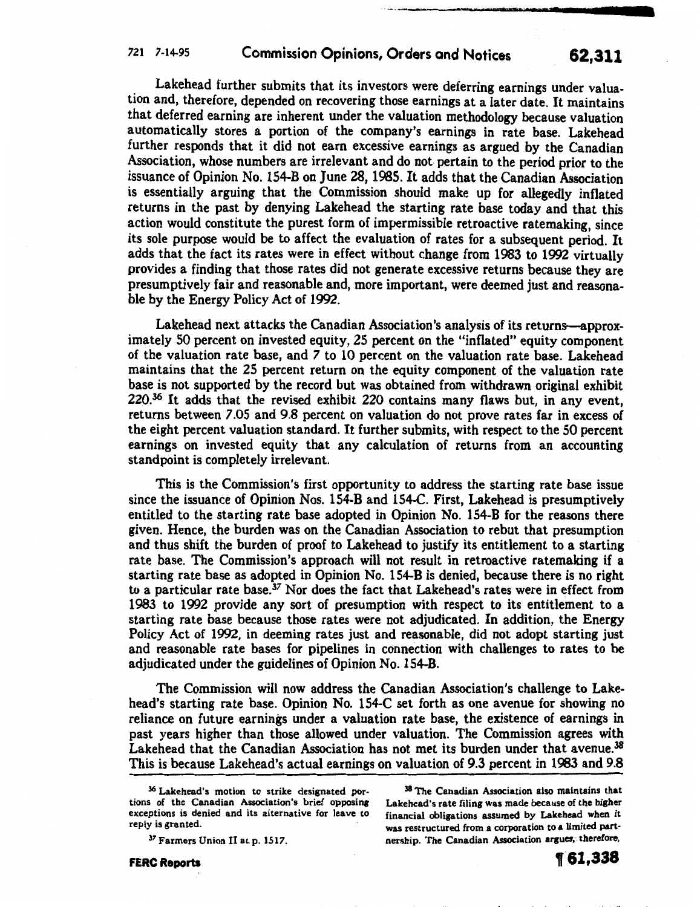Lakehead further submits that its investors were deferring earnings under valuation and, therefore, depended on recovering those earnings at a later date. It maintains that deferred earning are inherent under the valuation methodology because valuation automatically stores a portion of the company's earnings in rate base. Lakehead further responds that it did not earn excessive earnings as argued by the Canadian Association, whose numbers are irrelevant and do not pertain to the period prior to the issuance of Opinion No. 154-B on June 28, 1985. It adds that the Canadian Association is essentially arguing that the Commission should make up for allegedly inflated returns in the past by denying Lakehead the starting rate base today and that this action would constitute the purest form of impermissible retroactive ratemaking, since its sole purpose would be to affect the evaluation of rates for a subsequent period. It adds that the fact its rates were in effect without change from 1983 to 1992 virtually provides a finding that those rates did not generate excessive returns because they are presumptively fair and reasonable and, more important, were deemed just and reasonable by the Energy Policy Act of 1992.

Lakehead next attacks the Canadian Association's analysis of its returns-approximately 50 percent on invested equity, 25 percent on the "inflated" equity component of the valuation rate base, and *7* to 10 percent on the valuation rate base. Lakehead maintains that the 25 percent return on the equity component of the valuation rate base is not supported by the record but was obtained from withdrawn original exhibit 220.36 It adds that the revised exhibit 220 contains many flaws but, in any event, returns between 7.05 and 9.8 percent on valuation do not prove rates far in excess of the eight percent valuation standard. It further submits, with respect to the 50 percent earnings on invested equity that any calculation of returns from an accounting standpoint is completely irrelevant.

This is the Commission's first opportunity to address the starting rate base issue since the issuance of Opinion Nos. 154-B and 154-C. First, Lakehead is presumptively entitled to the starting rate base adopted in Opinion No. 154-B for the reasons there given. Hence, the burden was on the Canadian Association to rebut that presumption and thus shift the burden of proof to Lakehead to justify its entitlement to a starting rate base. The Commission's approach will not result in retroactive ratemaking if a starting rate base as adopted in Opinion No. 154-B is denied, because there is no right to a particular rate base.<sup>37</sup> Nor does the fact that Lakehead's rates were in effect from 1983 to 1992 provide any sort of presumption with respect to its entitlement to a starting rate base because those rates were not adjudicated. In addition, the Energy Policy Act of 1992, in deeming rates just and reasonable, did not adopt starting just and reasonable rate bases for pipelines in connection with challenges to rates to be adjudicated under the guidelines of Opinion No. 154-B.

The Commission will now address the Canadian Association's challenge to Lakehead's starting rate base. Opinion No. 154-C set forth as one avenue for showing no reliance on future earnings under a valuation rate base, the existence of earnings in past years higher than those allowed under valuation. The Commission agrees with Lakehead that the Canadian Association has not met its burden under that avenue.<sup>38</sup> This is because Lakehead's actual earnings on valuation of 9.3 percent in 1983 and 9.8

38 The Canadian Association also maintains that Lakehead's rate filing was made because of the higher financial obligations assumed by Lakehead when it was restructured from a corporation to a limited partnership. The Canadian Association argues, therefore,

FERC Reports

' t' ~ « ' I j o ' I j j I •• '

<sup>36</sup> Lakehead's motion to strike designated portions of the Canadian Association's brief opposing exceptions is denied and its alternative for leave to reply is granted.

<sup>37</sup> Farmers Union II at p. 1517.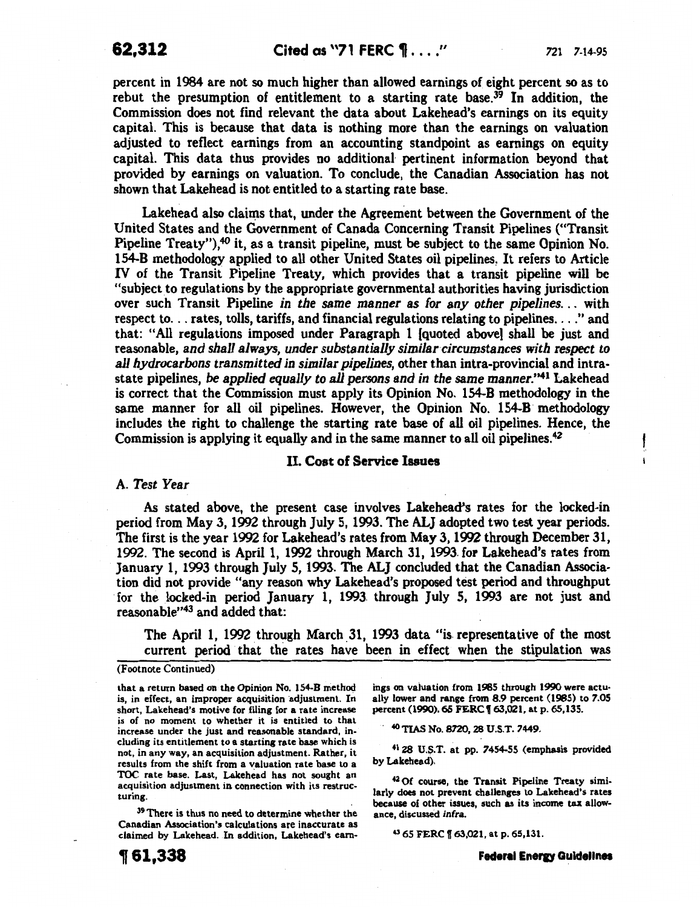**62,312** Cited as "71 FERC  $\mathbf{P}$ ...." 721 7-14-95

percent in 1984 are not so much higher than allowed earnings of eight percent so as to rebut the presumption of entitlement to a starting rate base.<sup>39</sup> In addition, the Commission does not find relevant the data about Lakehead's earnings on its equity capital. This is because that data is nothing more than the earnings on valuation adjusted to reflect earnings from an accounting standpoint as earnings on equity capital. This data thus provides no additional pertinent information beyond that provided by earnings on valuation. To conclude, the Canadian Association has not shown that Lakehead is not entitled to a starting rate base.

Lakehead also claims that, under the Agreement between the Government of the United States and the Government of Canada Concerning Transit Pipelines ("Transit Pipeline Treaty"),40 it, as a transit pipeline, must be subject to the same Opinion No. 154-B methodology applied to all other United States oil pipelines. It refers to Article IV of the Transit Pipeline Treaty, which provides that a transit pipeline will be "subject to regulations by the appropriate governmental authorities having jurisdiction over such Transit Pipeline *in the same manner as for any other pipelines...* with respect to... rates, tolls, tariffs, and financial regulations relating to pipelines...." and that: "All regulations imposed under Paragraph 1 [quoted above) shall be just and reasonable, *and shall always, under substantially similar circumstances with respect to all hydrocarbons transmitted in similar pipelines,* other than intra-provincial and intrastate pipelines, *be applied equally to all persons and in the same manner.'141* Lakehead is correct that the Commission must apply its Opinion No. 154-B methodology in the same manner for all oil pipelines. However, the Opinion No. 154-B methodology includes the right to challenge the starting rate base of all oil pipelines. Hence, the Commission is applying it equally and in the same manner to all oil pipelines.42

## II. Cost of Service Issues

#### A. *Test Year*

As stated above, the present case involves Lakehead's rates for the locked-in period from May 3, 1992 through July 5, 1993. The ALJ adopted two test year periods. The first is the year 1992 for Lakehead's rates from May 3, 1992 through December 31, 1992. The second is April 1, 1992 through March 31, 1993. for Lakehead's rates from January 1, 1993 through July 5, 1993. The ALJ concluded that the Canadian Association did not provide "any reason why Lakehead's proposed test period and throughput for the locked-in period January 1, 1993. through July 5, 1993 are not just and reasonable"43 and added that:

The April 1, 1992 through March \_31, 1993 data "is. representative of the most current period that the rates have been in effect when the stipulation was

#### (Footnote Continued)

that a return based on the Opinion No. 154-B method is, in effect, an improper acquisition adjustment. In short, Lakehead's motive for filing for a rate increase is of no moment to whether it is entitled to that increase under the just and reasonable standard, including its entitlement to a starting rate base which is not, in any way, an acquisition adjustment. Rather, it results from the shift from a valuation rate base to a TOC rate base. Last, Lakehead has not sought an acquisition adjustment in connection with its restructuring.

39 There is thus no need to determine whether the Canadian Association's calculations are inaccurate as claimed by Lakehead. In addition, Lakehead's earnings on vaiuation from 1985 through 1990 were actually lower and range from 8.9 percent (1985) to ?.OS percent (1990). 60 FERC f 63,021, at p. 65,135.

. 40 TIAS No. 8720,28 U.S.T. ?449.

<sup>41</sup> 28 U.S.T. at pp. 7454-55 (emphasis provided by Lakehead).

42 Of course, the Transit Pipeline Treaty similarly does not prevent challenges to Lakehead's rates because of other issues, such as its income tax allowance, discussed infra.

43 65 FERC f 63,021, at p. 65,131.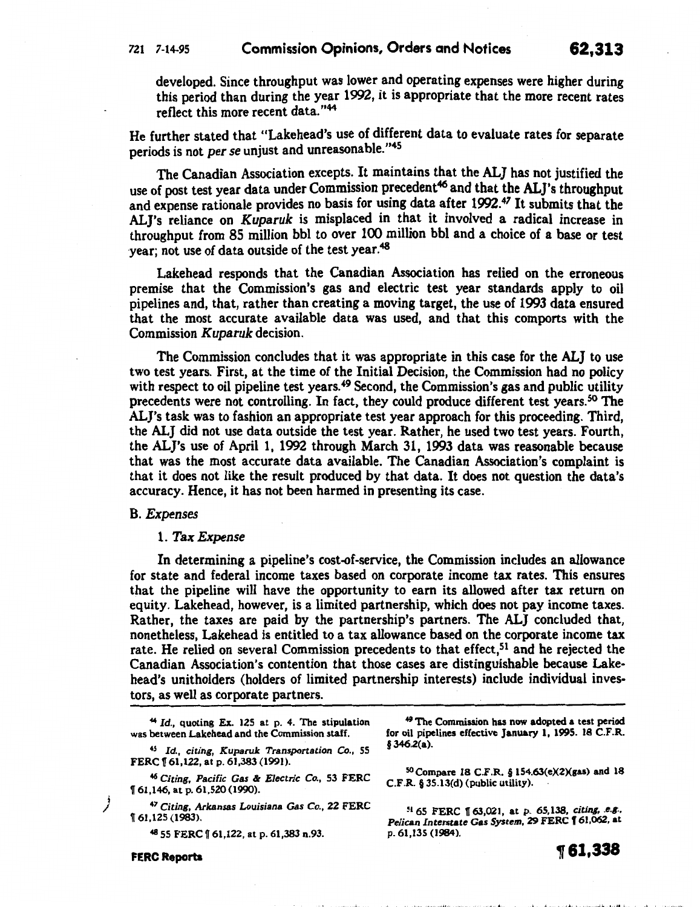developed. Since throughput was lower and operating expenses were higher during this period than during the year 1992, it is appropriate that the more recent rates reflect this more recent data."<sup>44</sup>

He further stated that "Lakehead's use of different data to evaluate rates for separate periods is not *per se* unjust and unreasonable."<sup>45</sup>

The Canadian Association excepts. It maintains that the ALJ has not justified the use of post test year data under Commission precedent<sup>46</sup> and that the ALJ's throughput and expense rationale provides no basis for using data after 1992.<sup>47</sup> It submits that the AL]'s reliance on *Kuparuk* is misplaced in that it involved a radical increase in throughput from 85 million bbl to over 100 million bbl and a choice of a base or test year; not use of data outside of the test year.<sup>48</sup>

Lakehead responds that the Canadian Association has relied on the erroneous premise that the Commission's gas and electric test year standards apply to oil pipelines and, that, rather than creating a moving target, the use of 1993 data ensured that the most accurate available data was used, and that this comports with the Commission *Kuparuk* decision.

The Commission concludes that it was appropriate in this case for the ALJ to use two test years. First, at the time of the Initial Decision, the Commission had no policy with respect to oil pipeline test years.<sup>49</sup> Second, the Commission's gas and public utility precedents were not controlling. In fact, they could produce different test years. 50 The AL]'s task was to fashion an appropriate test year approach for this proceeding. Third, the ALJ did not use data outside the test year. Rather, he used two test years. Fourth, the ALJ's use of April 1, 1992 through March 31, 1993 data was reasonable because that was the most accurate data available. The Canadian Association's complaint is that it does not like the result produced by that data. It does not question the data's accuracy. Hence, it has not been harmed in presenting its case.

#### B. *Expenses*

## 1. *Tax Expense*

In determining a pipeline's cost-of-service, the Commission includes an allowance for state and federal income taxes based on corporate income tax rates. This ensures that the pipeline will have the opportunity to earn its allowed after tax return on equity. Lakehead, however, is a limited partnership, which does not pay income taxes. Rather, the taxes are paid by the partnership's partners. The ALJ concluded that, nonetheless, Lakehead is entitled to a tax allowance based on the corporate income tax rate. He relied on several Commission precedents to that effect,<sup>51</sup> and he rejected the Canadian Association's contention that those cases are distinguishable because Lakehead's unitholders (holders of limited partnership interests) include individual investors, as well as corporate partners.

<sup>44</sup>*Id.,* quoting Ex. 125 at p. 4. The stipulation was between Lakehead and the Commission staff.

45 *Id., citing, Kuparuk Transportation* Co., 55 FERC 161,122, at p. 61,383 (1991).

46 *Citing, Pacific* Gas & *Electric* Co., 53 FERC 1r 61,146, at p. 61,520 (1990).

<sup>47</sup> *Citing, Arkansas Louisiana Gas Co.*, 22 FERC 51 65 FERC 163,021, at p. 65,138, *citing, e.g.*, 161,125 (1983).

48 55 FERC 161,122, at p. 61,383 n.93.

49 The Commission has now adopted a test period for oil pipelines effective January 1, 1995. 18 C.F.R. §346.2(&).

*SO* Compare 18 C.F.R. § 154.63(e)(2)(gas) and 18 C.F.R. § 35.13(d) (public utility).

Pelican Interstate Gas System, 29 FERC **f** 61,062, at p. 61,135 (1984).

FERC Reports **1f**  $\blacksquare$  **1.338** 

' t I \*' ' '\*'I J , I fl I ~ <sup>I</sup>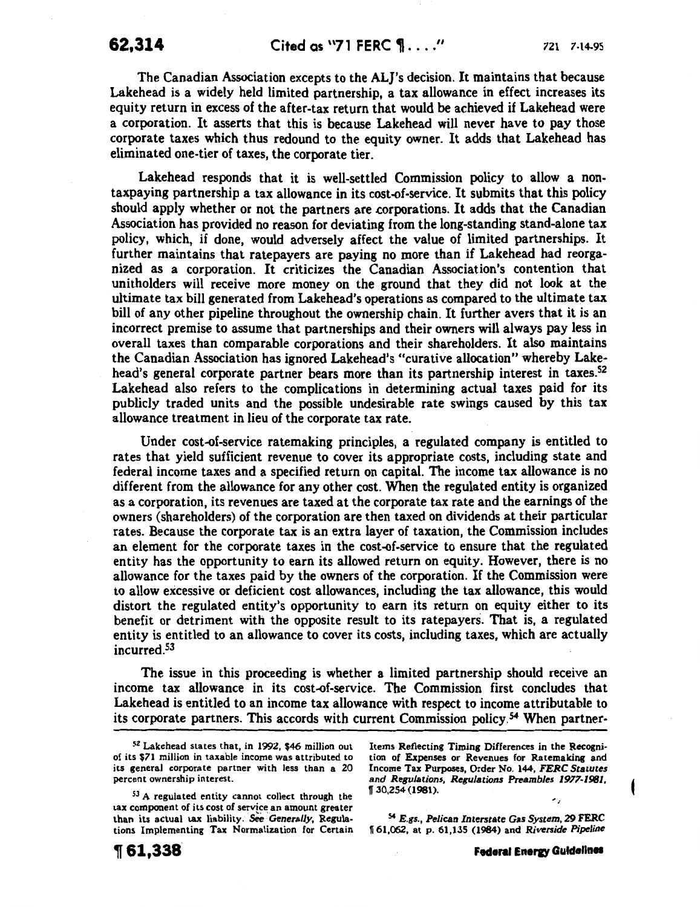The Canadian Association excepts to the ALJ's decision. It maintains that because Lakehead is a widely held limited partnership, a tax allowance in effect increases its equity return in excess of the after-tax return that would be achieved if Lakehead were a corporation. It asserts that this is because Lakehead will never have to pay those corporate taxes which thus redound to the equity owner. It adds that Lakehead has eliminated one-tier of taxes, the corporate tier.

Lakehead responds that it is well-settled Commission policy to allow a nontaxpaying partnership a tax allowance in its cost-of-service. It submits that this policy should apply whether or not the partners are corporations. It adds that the Canadian Association has provided no reason for deviating from the long-standing stand-alone tax policy, which, if done, would adversely affect the value of limited partnerships. It further maintains that ratepayers are paying no more than if Lakehead had reorganized as a corporation. It criticizes the Canadian Association's contention that unitholders will receive more money on the ground that they did not look at the ultimate tax bill generated from Lakehead's operations as compared to the ultimate tax bill of any other pipeline throughout the ownership chain. It further avers that it is an incorrect premise to assume that partnerships and their owners will always pay less in overall taxes than comparable corporations and their shareholders. It also maintains the Canadian Association has ignored Lakehead's "curative allocation" whereby Lakehead's general corporate partner bears more than its partnership interest in taxes.<sup>52</sup> Lakehead also refers to the complications in determining actual taxes paid for its publicly traded units and the possible undesirable rate swings caused by this tax allowance treatment in lieu of the corporate tax rate.

Under cost-of-service ratemaking principles, a regulated company is entitled to rates that yield sufficient revenue to cover its appropriate costs, including state and federal income taxes and a specified return on capital. The income tax allowance is no different from the allowance for any other cost. When the regulated entity is organized as a corporation, its revenues are taxed at the corporate tax rate and the earnings of the owners (shareholders) of the corporation are then taxed on dividends at their particular rates. Because the corporate tax is an extra layer of taxation, the Commission includes an element for the corporate taxes in the cost-of-service to ensure that the regulated entity has the opportunity to earn its allowed return on equity. However, there is no allowance for the taxes paid by the owners of the corporation. If the Commission were to allow excessive or deficient cost allowances, including the tax allowance, this would distort the regulated entity's opportunity to earn its return on equity either to its benefit or detriment with the opposite result to its ratepayers. That is, a regulated entity is entitled to an allowance to cover its costs, including taxes, which are actually incurred. 53

The issue in this proceeding is whether a limited partnership should receive an income tax allowance in its cost-of-service. The Commission first concludes that Lakehead is entitled to an income tax allowance with respect to income attributable to its corporate partners. This accords with current Commission policy.54 When partner-

**,61,338** 

Items Reflecting Timing Differences in the Recogni· tion of Expenses or Revenues for Ratemaking and Income Tax Purposes, Order No. 144, *FERC Statutes and Regulations, Regulations Preambles 1977-1981,*   $\sqrt{30.254}$  (1981).

<sup>54</sup>*E.gs., Pelican Interstate Gas System,* 29 FERC <sup>~</sup>61,062, at p. 61,135 (1984) and *Riverside Pipeline* 

<sup>52</sup> Lakehead states that, in 1992, \$46 million out of its \$71 million in taxable income was attributed to its general corporate partner with less than a 20 percent ownership interest.

 $53$  A regulated entity cannot collect through the tax component of its cost of service an amount greater than its actual tax liability. See Generally, Regulations Implementing Tax Normalization for Certain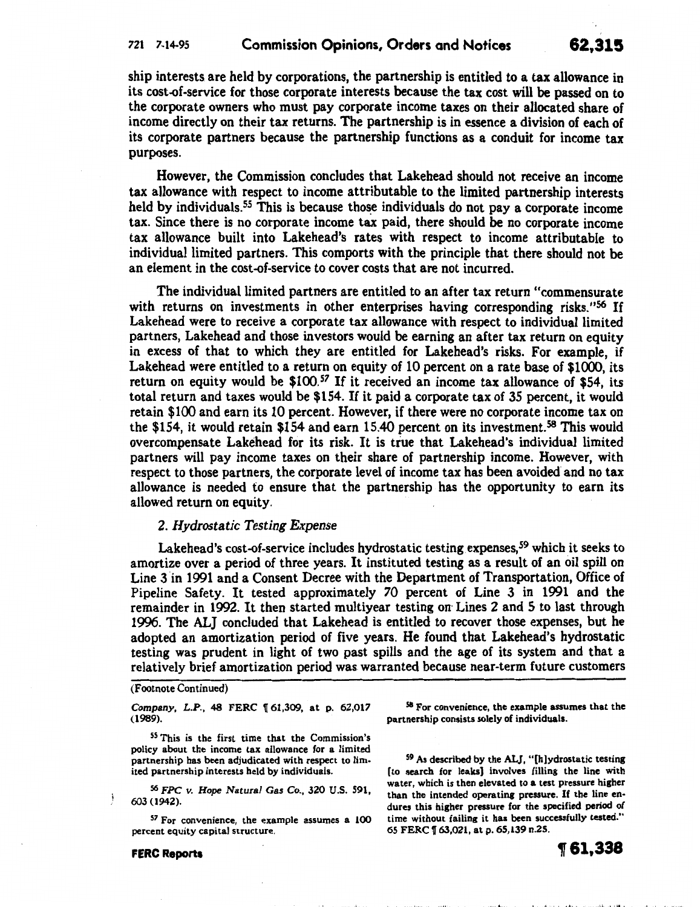## 721 7-14-95 Commission Opinions, Orders and Notices **62,315**

ship interests are held by corporations, the partnership is entitled to a tax allowance in its cost-of-service for those corporate interests because the tax cost will be passed on to the corporate owners who must pay corporate income taxes on their allocated share of income directly on their tax returns. The partnership is in essence a division of each of its corporate partners because the partnership functions as a conduit for income tax purposes.

However, the Commission concludes that Lakehead should not receive an income tax allowance with respect to income attributable to the limited partnership interests held by individuals.<sup>55</sup> This is because those individuals do not pay a corporate income tax. Since there is no corporate income tax paid, there should be no corporate income tax allowance built into Lakehead's rates with respect to income attributable to individual limited partners. This comports with the principle that there should not be an element in the cost-of-service to cover costs that are not incurred.

The individual limited partners are entitled to an after tax return "commensurate with returns on investments in other enterprises having corresponding risks."<sup>56</sup> If Lakehead were to receive a corporate tax allowance with respect to individual limited partners, Lakehead and those investors would be earning an after tax return on equity in excess of that to which they are entitled for Lakehead's risks. For example, if Lakehead were entitled to a return on equity of 10 percent on a rate base of \$1000, its return on equity would be \$100.<sup>57</sup> If it received an income tax allowance of \$54, its total return and taxes would be \$154. If it paid a corporate tax of 35 percent, it would retain \$100 and earn its 10 percent. However, if there were no corporate income tax on the \$154, it would retain \$154 and earn 15.40 percent on its investment. 58 This would overcompensate Lakehead for its risk. It is true that Lakehead's individual limited partners will pay income taxes on their share of partnership income. However, with respect to those partners, the corporate level of income tax has been avoided and no tax allowance is needed to ensure that the partnership has the opportunity to earn its allowed return on equity.

## 2. *Hydrostatic Testing Expense*

Lakehead's cost-of-service includes hydrostatic testing expenses, 59 which it seeks to amortize over a period of three years. It instituted testing as a result of an oil spill on Line 3 in 1991 and a Consent Decree with the Department of Transportation, Office of Pipeline Safety. It tested approximately 70 percent of Line 3 in 1991 and the remainder in 1992. It then started multiyear testing on Lines 2 and 5 to last through 1996. The ALJ concluded that Lakehead is entitled to recover those expenses, but he adopted an amortization period of five years. He found that Lakehead's hydrostatic testing was prudent in light of two past spills and the age of its system and that a relatively brief amortization period was warranted because near-term future customers

#### (Footnote Continued)

*Company, L.P., 48 FERC 161,309, at p. 62,017* (1989).

55 This is the first time that the Commission's policy about the income tax allowance for a limited partnership has been adjudicated with respect to limited partnership interests held by individuals.

S6 *FPC v. Hope Natural* Gas Co., 320 U.S. 591, 603 (1942).

 $57$  For convenience, the example assumes a 100 percent equity capital structure.

FERC Reports

Ť

<sup>58</sup>For convenience, the example assumes that the partnership consists solely of individuals.

59 As described by the ALJ, "[h)ydrostatic testing [to search for leaks) involves filling the line with water, which is then elevated to a test pressure higher than the intended operating pressure. If the line endures this higher pressure for the specified period of time without failing it has been successfully tested." 65 FERC 1[63,021, at p. 65,139 n.25.

III ' In Financial and a state of the state of the state of the state of the state of the state of the state of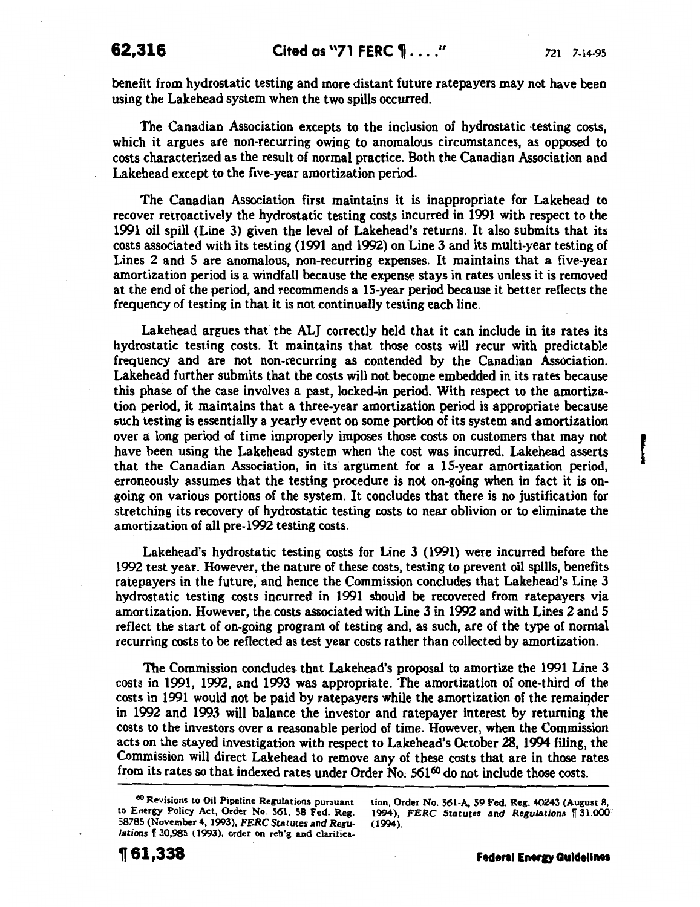benefit from hydrostatic testing and more distant future ratepayers may not have been using the Lakehead system when the two spills occurred.

The Canadian Association excepts to the inclusion of hydrostatic testing costs, which it argues are non-recurring owing to anomalous circumstances, as opposed to costs characterized as the result of normal practice. Both the Canadian Association and Lakehead except to the five-year amortization period.

The Canadian Association first maintains it is inappropriate for Lakehead to recover retroactively the hydrostatic testing costs incurred in 1991 with respect to the 1991 oil spill (Line 3) given the level of Lakehead's returns. It also submits that its costs associated with its testing (1991 and 1992) on Line 3 and its multi-year testing of Lines 2 and 5 are anomalous, non-recurring expenses. It maintains that a five-year amortization period is a windfall because the expense stays in rates unless it is removed at the end of the period, and recommends a 15-year period because it better reflects the frequency of testing in that it is not continually testing each line.

Lakehead argues that the ALJ correctly held that it can include in its rates its hydrostatic testing costs. It maintains that those costs will recur with predictable frequency and are not non-recurring as contended by the Canadian Association. Lakehead further submits that the costs will not become embedded in its rates because this phase of the case involves a past, locked-in period. With respect to the amortization period, it maintains that a three-year amortization period is appropriate because such testing is essentially a yearly event on some portion of its system and amortization over a long period of time improperly imposes those costs on customers that may not have been using the Lakehead system when the cost was incurred. Lakehead asserts that the Canadian Association, in its argument for a 15-year amortization period, erroneously assumes that the testing procedure is not on-going when in fact it is ongoing on various portions of the system. It concludes that there is no justification for stretching its recovery of hydrostatic testing costs to near oblivion or to eliminate the amortization of all pre-1992 testing costs.

Lakehead's hydrostatic testing costs for Line 3 (1991) were incurred before the 1992 test year. However, the nature of these costs, testing to prevent oil spills, benefits ratepayers in the future; and hence the Commission concludes that Lakehead's Line 3 hydrostatic testing costs incurred in 1991 should be recovered from ratepayers via amortization. However, the costs associated with Line 3 in 1992 and with Lines 2 and 5 reflect the start of on-going program of testing and, as such, are of the type of normal recurring costs to be reflected as test year costs rather than collected by amortization.

The Commission concludes that Lakehead's proposal to amortize the 1991 Line 3 costs in 1991, 1992, and 1993 was appropriate. The amortization of one-third of the costs in 1991 would not be paid by ratepayers while the amortization of the remainder in 1992 and 1993 will balance the investor and ratepayer interest by returning the costs to the investors over a reasonable period of time. However, when the Commission acts on the stayed investigation with respect to Lakehead's October 28, 1994 filing, the Commission will direct Lakehead to remove any of these costs that are in those rates from its rates so that indexed rates under Order No.  $561<sup>60</sup>$  do not include those costs.

tion, Order No. 561-A, 59 Fed. Reg. 40243 (August 8, 1994), FERC Statutes and Regulations 131,000 (1994).

<sup>60</sup> Revisions to Oil Pipeline Regulations pursuant to Energy Policy Act, Order No. 561, 58 Fed. Reg. 58785 (November 4, 1993), *FERC Statutes* and *Regulations* f 30,985 (1993), order on reh'g and clarifica-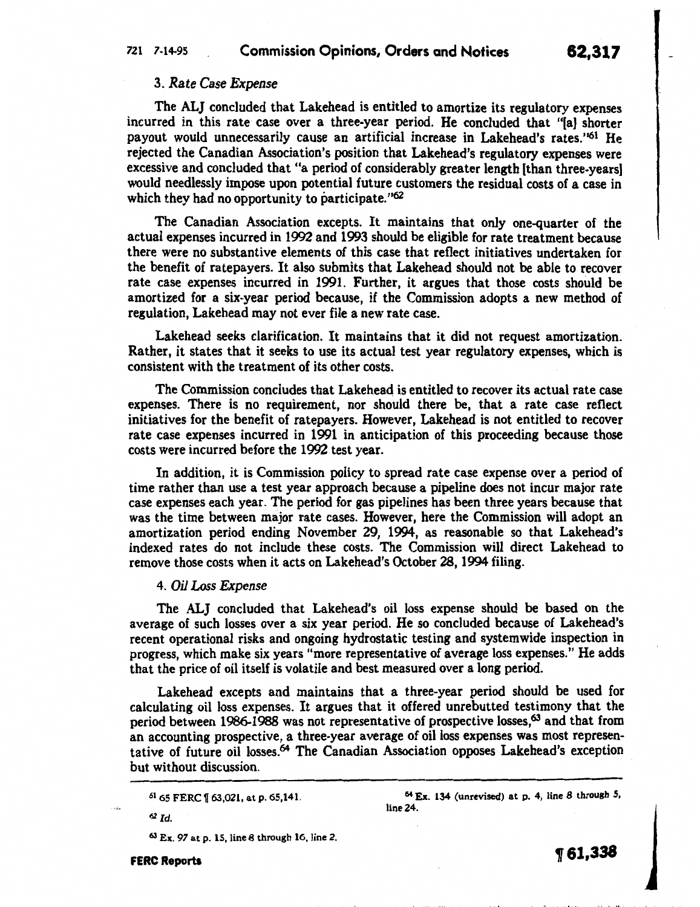## 721 7-14-95 Commission Opinions, Orders and Notices 62,317

## 3. *Rate Case Expense*

The ALJ concluded that Lakehead is entitled to amortize its regulatory expenses incurred in this rate case over a three-year period. He concluded that "[a) shorter payout would unnecessarily cause an artificial increase in Lakehead's rates."<sup>61</sup> He rejected the Canadian Association's position that Lakehead's regulatory expenses were excessive and concluded that "a period of considerably greater length [than three-years) would needlessly impose upon potential future customers the residual costs of a case in which they had no opportunity to participate." $62$ 

The Canadian Association excepts. It maintains that only one-quarter of the actual expenses incurred in 1992 and 1993 should be eligible for rate treatment because there were no substantive elements of this case that reflect initiatives undertaken for the benefit of ratepayers. It also submits that Lakehead should not be able to recover rate case expenses incurred in 1991. Further, it argues that those costs should be amortized for a six-year period because, if the Commission adopts a new method of regulation, Lakehead may not ever file a new rate case.

Lakehead seeks clarification. It maintains that it did not request amortization. Rather, it states that it seeks to use its actual test year regulatory expenses, which is consistent with the treatment of its other costs.

The Commission concludes that Lakehead is entitled to recover its actual rate case expenses. There is no requirement, nor should there be, that a rate case reflect initiatives for the benefit of ratepayers. However, Lakehead is not entitled to recover rate case expenses incurred in 1991 in anticipation of this proceeding because those costs were incurred before the 1992 test year.

In addition, it is Commission policy to spread rate case expense over a period of time rather than use a test year approach because a pipeline does not incur major rate case expenses each year. The period for gas pipelines has been three years because that was the time between major rate cases. However, here the Commission will adopt an amortization period ending November 29, 1994, as reasonable so that Lakehead's indexed rates do not include these costs. The Commission will direct Lakehead to remove those costs when it acts on Lakehead's October 28, 1994 filing.

## 4. *Oil Loss Expense*

The ALJ concluded that Lakehead's oil loss expense should be based on the average of such losses over a six year period. He so concluded because of Lakehead's recent operational risks and ongoing hydrostatic testing and systemwide inspection in progress, which make six years "more representative of average loss expenses." He adds that the price of oil itself is volatile and best measured over a long period.

Lakehead excepts and maintains that a three-year period should be used for calculating oil loss expenses. It argues that it offered unrebutted testimony that the period between 1986-1988 was not representative of prospective losses,<sup>63</sup> and that from an accounting prospective, a three-year average of oil loss expenses was most representative of future oil losses.<sup>64</sup> The Canadian Association opposes Lakehead's exception but without discussion.

<sup>62</sup>*Id.* 

63 Ex. 97 at p. 15, line 8 through 16, line 2.

<sup>64</sup>Ex. 134 (unrevised) at p. 4, line 8 through 5, line 24.

1f61,338

<sup>61 65</sup> FERC f 63,021, at p. 65,141.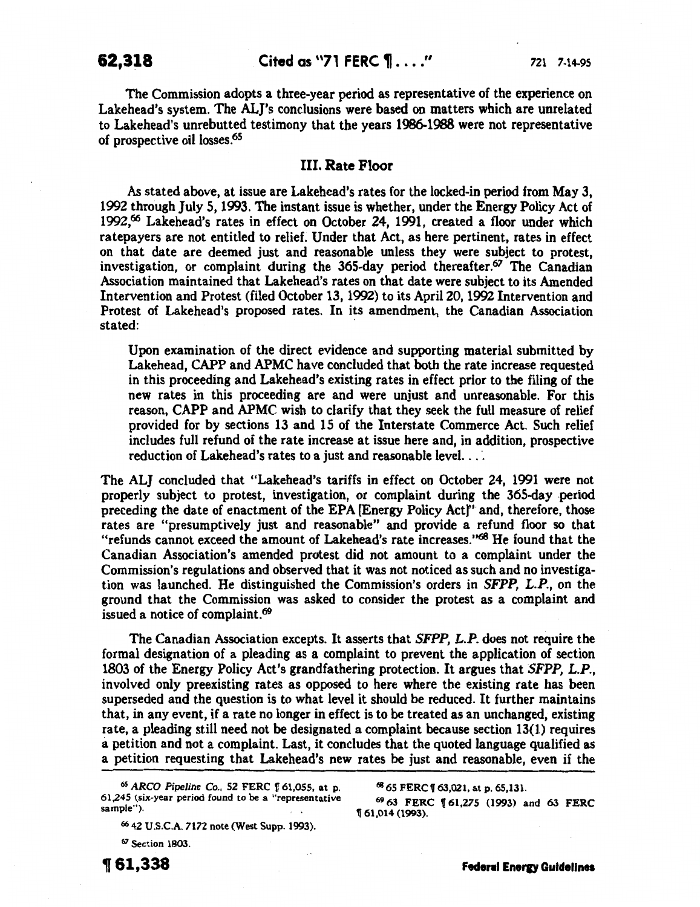The Commission adopts a three-year period as representative of the experience on Lakehead's system. The ALJ's conclusions were based on matters which are unrelated to Lakehead's unrebutted testimony that the years 1986-1988 were not representative of prospective oil losses.<sup>65</sup>

## III. Rate Floor

As stated above, at issue are Lakehead's rates for the locked-in period from May 3, 1992 through July 5, 1993. The instant issue is whether, under the Energy Policy Act of 1992.<sup>66</sup> Lakehead's rates in effect on October 24, 1991, created a floor under which ratepayers are not entitled to relief. Under that Act, as here pertinent, rates in effect on that date are deemed just and reasonable unless they were subject to protest, investigation, or complaint during the 365-day period thereafter.67 The Canadian Association maintained that Lakehead's rates on that date were subject to its Amended Intervention and Protest (filed October 13, 1992) to its Apri120, 1992 Intervention and Protest of Lakehead's proposed rates. In its amendment, the Canadian Association stated:

Upon examination of the direct evidence and supporting material submitted by Lakehead, CAPP and APMC have concluded that both the rate increase requested in this proceeding and Lakehead's existing rates in effect prior to the filing of the new rates in this proceeding are and were unjust and unreasonable. For this reason, CAPP and APMC wish to clarify that they seek the full measure of relief provided for by sections 13 and 15 of the Interstate Commerce Act. Such relief includes full refund of the rate increase at issue here and, in addition, prospective reduction of Lakehead's rates to a just and reasonable level. .. ·.

The ALJ concluded that "Lakehead's tariffs in effect on October 24, 1991 were not properly subject to protest, investigation, or complaint during the 365-day period preceding the date of enactment of the EPA [Energy Policy Act]"· and, therefore, those rates are "presumptively just and reasonable" and provide a refund floor so that "refunds cannot exceed the amount of Lakehead's rate increases."<sup>68</sup> He found that the Canadian Association's amended protest did not amount to a complaint under the Commission's regulations and observed that it was not noticed as such and no investigation was launched. He distinguished the Commission's orders in *SFPP, L.P.,* on the ground that the Commission was asked to consider the protest as a complaint and issued a notice of complaint.<sup>69</sup>

The Canadian Association excepts. It asserts that *SFPP, L.P.* does not require the formal designation of a pleading as a complaint to prevent the application of section 1803 of the Energy Policy Act's grandfathering protection. It argues that *SFPP, L.P.,*  involved only preexisting rates as opposed to here where the existing rate has been superseded and the question is to what level it should be reduced. It further maintains that, in any event, if a rate no longer in effect is to be treated as an unchanged, existing rate, a pleading still need not be designated a complaint because section 13(1) requires a petition and not a complaint. Last, it concludes that the quoted language qualified as a petition requesting that Lakehead's new rates be just and reasonable, even if the

*6S ARCO Pipeline* Co., 52 FERC 1[ 61,055, at p. 61,245 (six-year period found to be a "representative sample").

<sup>66</sup>42 U.S.C.A. 7172 note (West Supp. 1993).

67 Section 1803.

~61,338

68 65 FERC f 63,021, at p. 65,131.

69 63 FERC 151.275 (1993) and 63 FERC 1T 61,014 (1993).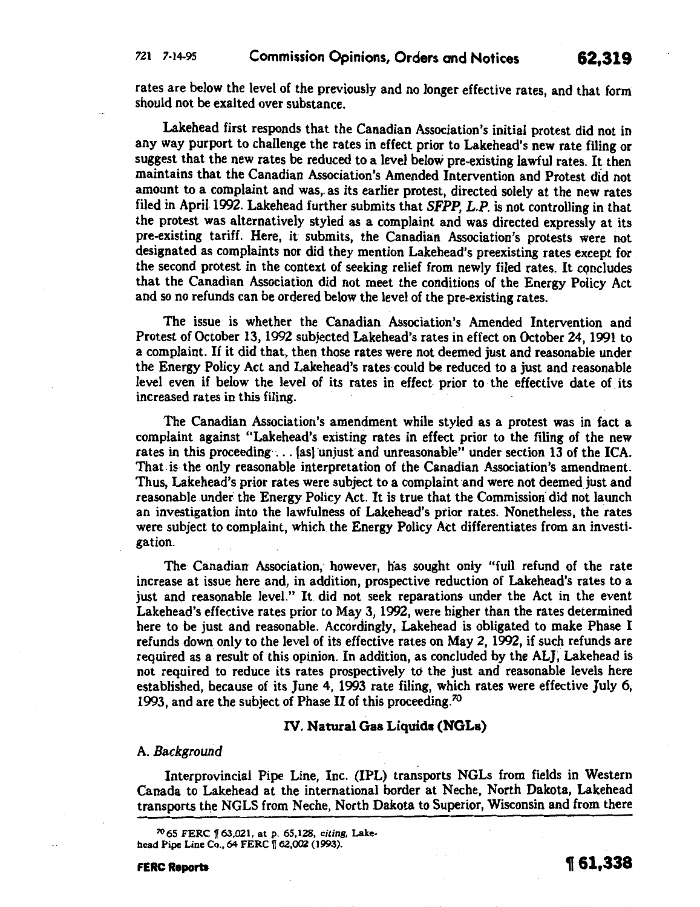rates are below the level of the previously and no longer effective rates, and that form should not be exalted over substance.

Lakehead first responds that the Canadian Association's initial protest did not in any way purport to challenge the rates in effect prior to Lakehead's new rate filing or suggest that the new rates be reduced to a level below pre-existing lawful rates. It then maintains that the Canadian Association's Amended Intervention and Protest did not amount to a complaint and was, as its earlier protest, directed solely at the new rates filed in April 1992. Lakehead further submits that *SFPP, L.P.* is not controlling in that the protest was alternatively styled as a complaint and was directed expressly at its pre-existing tariff. Here, it submits, the Canadian Association's protests were not designated as complaints nor did they mention Lakehead's preexisting rates except for the second protest in the context of seeking relief from newly filed rates. It concludes that the Canadian Association did not meet the conditions of the Energy Policy Act and so no refunds can be ordered below the level of the pre-existing rates.

The issue is whether the Canadian Association's Amended Intervention and Protest of October 13, 1992 subjected Lakehead's rates in effect on October 24, 1991 to a complaint. If it did that, then those rates were not deemed just and reasonable under the Energy Policy Act and Lakehead's rates could be reduced to a just and reasonable level even if below the level of its rates in effect prior to the effective date of its increased rates in this filing.

The Canadian Association's amendment while styled as a protest was in fact a complaint against "Lakehead's existing rates in effect prior to the filing of the new rates in this proceeding  $\ldots$  [as] unjust and unreasonable" under section 13 of the ICA. That. is the only reasonable interpretation of the Canadian Association's amendment. Thus, Lakehead's prior rates were subject to a complaint and were not deemed just and reasonable under the Energy Policy Act. It is true that the Commission' did not launch an investigation into the lawfulness of Lakehead's prior rates. Nonetheless, the rates were subject to complaint, which the Energy Policy Act differentiates from an investigation.

The Canadian Association, however, has sought only "full refund of the rate increase at issue here and, in addition, prospective reduction of Lakehead's rates to a just and reasonable level." It did not seek reparations under the Act in the event Lakehead's effective rates prior to May 3, 1992, were higher than the rates determined here to be just and reasonable. Accordingly, Lakehead is obligated to make Phase I refunds down only to the level of its effective rates on May 2, 1992, if such refunds are required as a result of this opinion. In addition, as concluded by the ALJ, Lakehead is not required to reduce its rates prospectively to the just and reasonable levels here established, because of its June 4, 1993 rate filing, which rates were effective July 6, 1993, and are the subject of Phase II of this proceeding.<sup>70</sup>

## IV. Natural Gas Liquids (NGLs)

## A. *Background*

Interprovincial Pipe Line, Inc. (IPL) transports NGLs from fields in Western Canada to Lakehead at the international border at Neche, North Dakota, Lakehead transports the NGLS from Neche, North Dakota to Superior, Wisconsin and from there

' t I II ' ' ' ~ ' ' ' I j. I I ,. '

<sup>70 65</sup> FERC 1[63,021, at p. 65,128, *citing,* Lakehead Pipe Line Co., 64 FERC 162,002 (1993).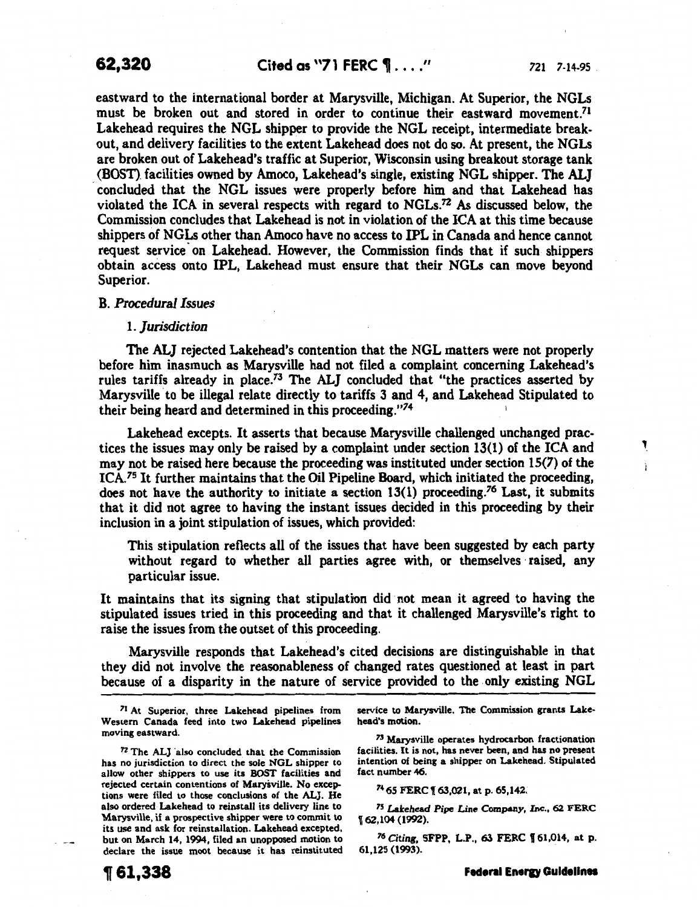1

eastward to the international border at Marysville, Michigan. At Superior, the NGLs must be broken out and stored in order to continue their eastward movement.<sup>71</sup> Lakehead requires the NGL shipper to provide the NGL receipt, intermediate breakout, and delivery facilities to the extent Lakehead does not do so. At present, the NGLs are broken out of Lakehead's traffic at Superior, Wisconsin using breakout storage tank (BOST). facilities owned by Amoco, Lakehead's single, existing NGL shipper. The ALJ concluded that the NGL issues were properly before him and that Lakehead has violated the ICA in several respects with regard to NGLs.<sup>72</sup> As discussed below, the Commission concludes that Lakehead is not in violation of the ICA at this time because shippers of NGLs other than Amoco have no access to IPL in Canada and hence cannot request service on Lakehead. However, the Commission finds that if such shippers obtain access onto IPL, Lakehead must ensure that their NGLs can move beyond Superior.

## B. *Procedural Issues*

#### *!.Jurisdiction*

The ALJ rejected Lakehead's contention that the NGL matters were not properly before him inasmuch as Marysville had not filed a complaint concerning Lakehead's rules tariffs already in place.<sup>73</sup> The ALJ concluded that "the practices asserted by Marysville to be illegal relate directly to tariffs 3 and 4, and Lakehead Stipulated to their being heard and determined in this proceeding."74

Lakehead excepts. It asserts that because Marysville challenged unchanged practices the issues may only be raised by a complaint under section 13(1) of the ICA and may not be raised here because the proceeding was instituted under section 15(7) of the ICA.75 It further maintains that the Oil Pipeline Board, which initiated the proceeding, does not have the authority to initiate a section  $13(1)$  proceeding.<sup>76</sup> Last, it submits that it did not agree to having the instant issues decided in this proceeding by their inclusion in a joint stipulation of issues, which provided:

This stipulation reflects all of the issues that have been suggested by each party without regard to whether all parties agree with, or themselves raised, any particular issue.

It maintains that its signing that stipulation did not mean it agreed to having the stipulated issues tried in this proceeding and that it challenged Marysville's right to raise the issues from the outset of this proceeding.

Marysville responds that Lakehead's cited decisions are distinguishable in that they did not involve the reasonableness of changed rates questioned at least in part because of a disparity in the nature of service provided to the only existing NGL

<sup>71</sup> At Superior, three Lakehead pipelines from Western Canada feed into two Lakehead pipelines moving eastward.

 $72$  The ALJ also concluded that the Commission has no jurisdiction to direct the sole NGL shipper to allow other shippers to use its BOST facilities and rejected certain contentions of Marysville. No excep. tions were filed to those conclusions of the AL]. He also ordered Lakehead to reinstall its delivery line to Marysville, if a prospective shipper were to commit to its use and ask for reinstallation. Lakehead excepted, but on March 14, 1994, filed an unopposed motion to declare the issue moot because it has reinstituted service to Marysville. The Commission grants Lake· head"s motion.

73 Marysville operates hydrocarbon fractionation facilities. It is not, has never been, and has no present intention of being a shipper on Lakehead. Stipulated fact number 46.

74 65 FERC 1f 63,021, at p. 65,142.

75 Lakehead *Pipe Line* Company, Inc., 62 FERC u 62,104 (1992).

<sup>76</sup>*Citing,* SFPP, L.P., 63 FERC f 61,014, at p. 61,125 (1993).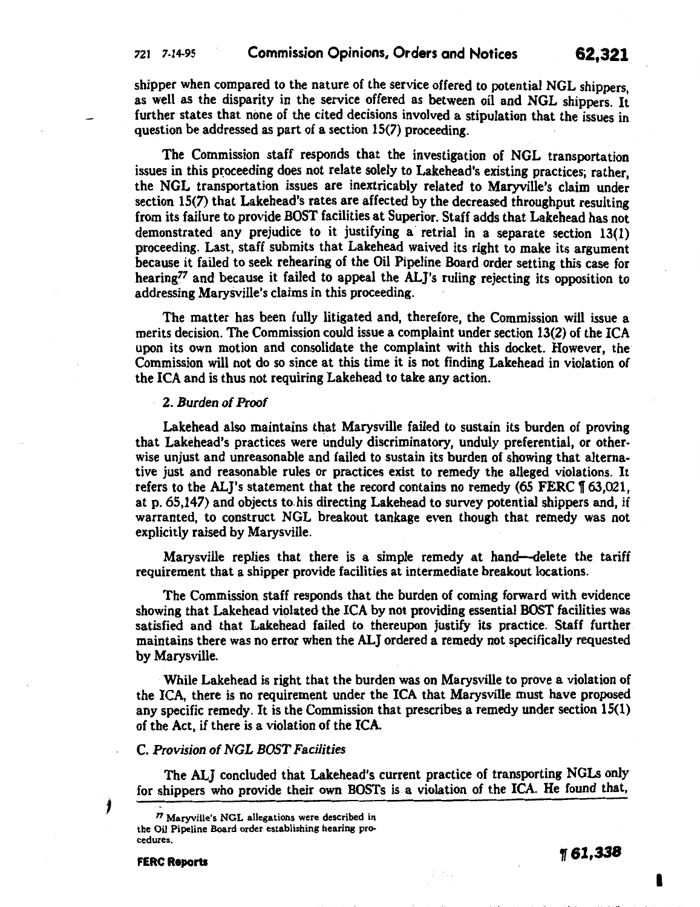shipper when compared to the nature of the service offered to potential NGL shippers as well as the disparity in the service offered as between oil and NGL shippers. It further states that none of the cited decisions involved a stipulation that the issues in question be addressed as part of a section 15(7) proceeding.

The Commission staff responds that the investigation of NGL transportation issues in this proceeding does not relate solely to Lakehead's existing practices; rather, the NGL transportation issues are inextricably related to Maryville's claim under section 15(7) that Lakehead's rates are affected by the decreased throughput resulting from its failure to provide BOST facilities at Superior. Staff adds that Lakehead has not demonstrated any prejudice to it justifying a retrial in a separate section 13(1) proceeding. Last, staff submits that Lakehead waived its right to make its argument because it failed to seek rehearing of the Oil Pipeline Board order setting this case for hearing<sup>77</sup> and because it failed to appeal the ALJ's ruling rejecting its opposition to addressing Marysville's claims in this proceeding.

The matter has been fully litigated and, therefore, the Commission will issue a merits decision. The Commission could issue a complaint under section 13(2) of the ICA upon its own motion and consolidate the complaint with this docket. However, the Commission will not do so since at this time it is not finding Lakehead in violation of the ICA and is thus not requiring Lakehead to take any action.

## 2. Burden of Proof

Lakehead also maintains that Marysville failed to sustain its burden of proving that Lakehead's practices were unduly discriminatory, unduly preferential, or otherwise unjust and unreasonable and failed to sustain its burden of showing that alternative just and reasonable rules or practices exist to remedy the alleged violations. It refers to the ALJ's statement that the record contains no remedy  $(65$  FERC  $\sqrt{ }$  63,021, at p. 65,147) and objects to. his directing Lakehead to survey potential shippers and, if warranted, to construct NGL breakout tankage even though that remedy was not explicitly raised by Marysville.

Marysville replies that there is a simple remedy at hand-delete the tariff requirement that a shipper provide facilities at intermediate breakout locations.

The Commission staff responds that the burden of coming forward with evidence showing that Lakehead violated the ICA by not providing essential BOST facilities was satisfied and that Lakehead failed to thereupon justify its practice. Staff further maintains there was no error when the ALJ ordered a remedy not specifically requested by Marysville.

While Lakehead is right that the burden was on Marysville to prove a violation of the ICA, there is no requirement under the ICA that Marysville must have proposed any specific remedy. It is the Commission that prescribes a remedy under section 15(1) of the Act, if there is a violation of the  $ICA$ .

## C. Provision of NGL BOST Facilities

The ALJ concluded that Lakehead's current practice of transporting NGLs only for shippers who provide their own BOSTs is a violation of the ICA. He found that,

1

FERC Reports  $\eta$  61,338

I

<sup>&</sup>quot; Maryville's NGL allegations were described in the Oil Pipeline Board order establishing hearing procedures.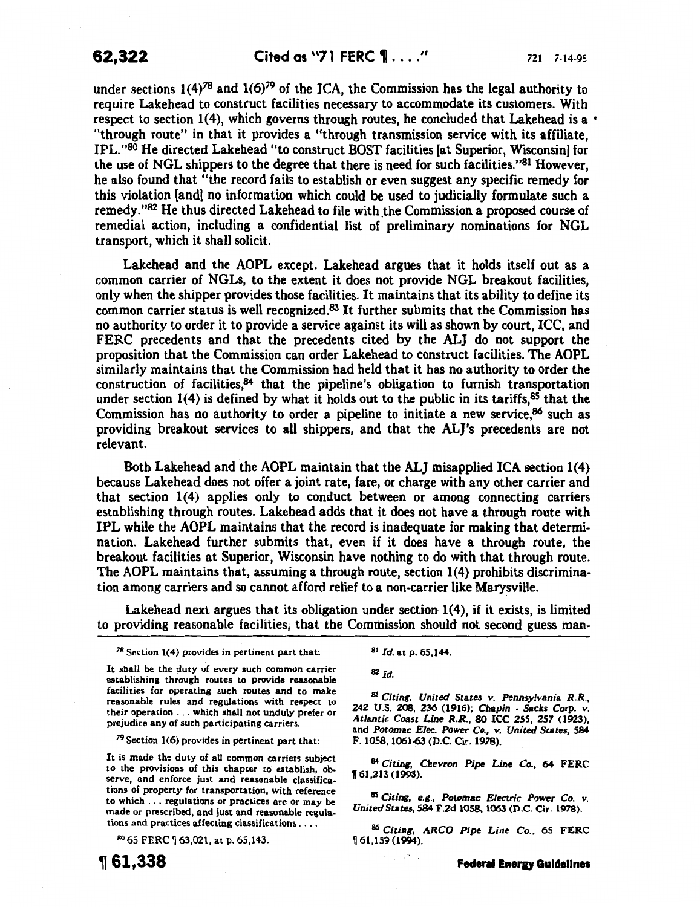under sections  $1(4)^{78}$  and  $1(6)^{79}$  of the ICA, the Commission has the legal authority to require Lakehead to construct facilities necessary to accommodate its customers. With respect to section 1(4), which governs through routes, he concluded that Lakehead is a  $\cdot$ "through route" in that it provides a "through transmission service with its affiliate, IPL. "80 He directed Lakehead "to construct BOST facilities [at Superior, Wisconsin] for the use of NGL shippers to the degree that there is need for such facilities."<sup>81</sup> However, he also found that "the record fails to establish or even suggest any specific remedy for this violation [and] no information which could be used to judicially formulate such a remedy."82 He thus directed Lakehead to file with the Commission a proposed course of remedial action, including a confidential list of preliminary nominations for NGL transport, which it shall solicit.

Lakehead and the AOPL except. Lakehead argues that it holds itself out as a common carrier of NGLs, to the extent it does not provide NGL breakout facilities, only when the shipper provides those facilities. It maintains that its ability to define its common carrier status is well recognized.83 It further submits that the Commission has no authority to order it to provide a service against its will as shown by court, ICC, and FERC precedents and that the precedents cited by the ALJ do not support the proposition that the Commission can order Lakehead to construct facilities. The AOPL similarly maintains that the Commission had held that it has no authority to order the construction of facilities, $84$  that the pipeline's obligation to furnish transportation under section  $1(4)$  is defined by what it holds out to the public in its tariffs,  $85$  that the Commission has no authority to order a pipeline to initiate a new service,86 such as providing breakout services to all shippers, and that the AL]'s precedents are not relevant.

Both Lakehead and the AOPL maintain that the ALJ misapplied ICA section 1(4) because Lakehead does not offer a joint rate, fare, or charge with any other carrier and that section 1(4) applies only to conduct between or among connecting carriers establishing through routes. Lakehead adds that it does not have a through route with IPL while the AOPL maintains that the record is inadequate for making that determination. Lakehead further submits that, even if it does have a through route, the breakout facilities at Superior, Wisconsin have nothing to do with that through route. The AOPL maintains that, assuming a through route, section 1(4) prohibits discrimination among carriers and so cannot afford relief to a non-carrier like Marysville.

Lakehead next argues that its obligation under section 1(4), if it exists, is limited to providing reasonable facilities, that the Commission should not second guess man-

*<sup>78</sup>*Section 1(4) provides in pertinent part that:

It shall be the duty of every such common carrier establishing through routes to provide reasonable facilities for operating such routes and to make reasonable rules and regulations with respect to their operation ... which shall not unduly prefer or prejudice any of such participating carriers.

*<sup>79</sup>*Section 1(6) provides in pertinent part that:

It is made the duty of all common carriers subject to the provisions of this chapter to establish, observe, and enforce just and reasonable classifications of property for transportation, with reference to which ... regulations or practices are or may be made or prescribed, and just and reasonable regulations and practices affecting classifications ....

80 65 FERC \ 63,021, at p. 65,143.



<sup>81</sup>*Id.* at p. 65,144.

<sup>82</sup>*Id.* 

<sup>83</sup>*Citing, United States v. Pennsylvania R.R.,*  242 U.S. 208, 236 (1916); *Chapin* - *Sacks Corp. v. Atlantic Coast Line R.R.,* 80 ICC 255, 257 (1923), and *Potomac Elec. Power Co., v. United States,* 584 F. 1058, 1061-63 (D.C. Cir. 1978).

<sup>84</sup>*Citing, Chevron Pipe Line Co.,* 64 FERC 1161,213 (1993).

*85 Citing,* e.g., *Potomac Electric Power Co. v. United States,* 584 F.2d 1058, 1063 (D.C. Cir. 1978).

*86 Citing, ARCO Pipe Line Co.,* 65 FERC 1161,159 (1994).

**Federal Energy Guidelines**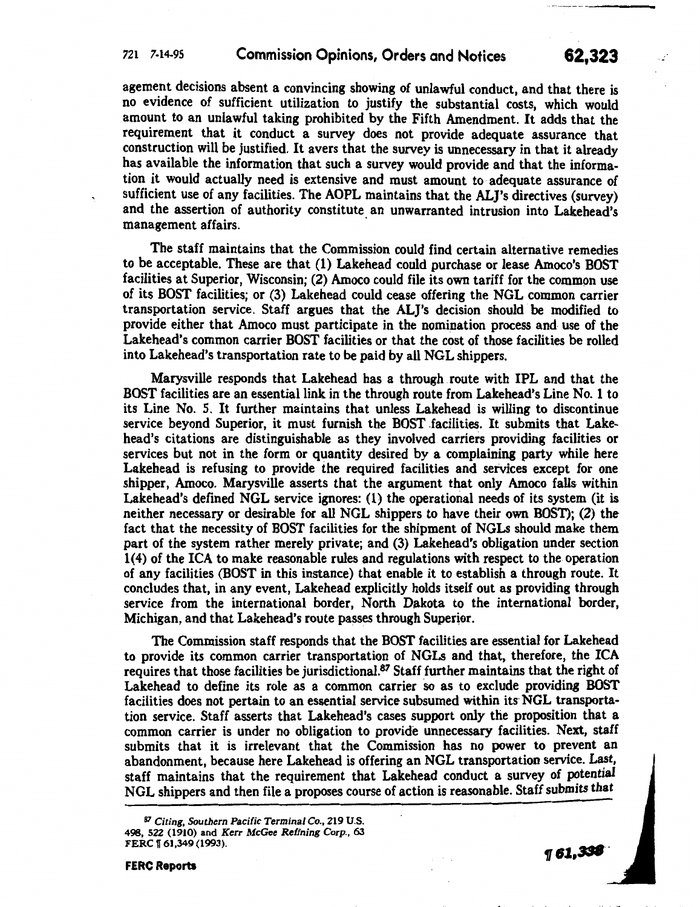## 721 7-14-95 Commission Opinions, Orders and Notices 62,323

agement decisions absent a convincing showing of unlawful conduct, and that there is no evtdence of sufficient utilization to justify the substantial costs, which would amount to an unlawful taking prohibited by the Fifth Amendment. It adds that the requirement that it conduct a survey does not provide adequate assurance that construction will be justified. It avers that the survey is unnecessary in that it already has available the information that such a survey would provide and that the information it would actually need is extensive and must amount to adequate assurance of sufficient use of any facilities. The AOPL maintains that the ALJ's directives (survey) and the assertion of authority constitute an unwarranted intrusion into Lakehead's management affairs.

The staff maintains that the Commission could find certain alternative remedies to be acceptable. These are that (1) Lakehead could purchase or lease Amoco's BOST facilities at Superior, Wisconsin;  $(2)$  Amoco could file its own tariff for the common use of its BOST facilities; or (3) Lakehead could cease offering the NGL common carrier transportation service. Staff argues that the AL]'s decision should be modified to provide either that Amoco must participate in the nomination process and use of the Lakehead's common carrier BOST facilities or that the cost of those facilities be rolled into Lakehead's transportation rate to be paid by all NGL shippers.

Marysville responds that Lakehead has a through route with IPL and that the BOST facilities are an essential link in the through route from Lakehead's Line No. 1 to its Line No. 5. It further maintains that unless Lakehead is willing to discontinue service beyond Superior, it must furnish the BOST facilities. It submits that Lakehead's citations are distinguishable as they involved carriers providing facilities or services but not in the form or quantity desired by a complaining party while here Lakehead is refusing to provide the required facilities and services except for one shipper, Amoco. Marysville asserts that the argument that only Amoco falls- within Lakehead's defined NGL service ignores: (1) the operational needs of its system (it is neither necessary or desirable for all NGL shippers to have their own BOST); (2) the fact that the necessity of BOST facilities for the shipment of NGLs should make them part of the system rather merely private; and (3) Lakehead's obligation under section 1( 4) of the ICA to make reasonable rules and regulations with respect to the operation of any facilities (BOST in this instance) that enable it to establish a through route. It concludes that, in any event, Lakehead explicitly holds itself out as providing through service from the international border, North Dakota to the international border, Michigan, and that Lakehead's route passes through Superior.

The Commission staff responds that the BOST facilities are essential for Lakehead to provide its common carrier transportation of NGLs and that, therefore, the ICA requires that those facilities be jurisdictional.<sup>87</sup> Staff further maintains that the right of Lakehead to define its role as a common carrier 5o as to exclude providing BOST facilities does not pertain to an essential service subsumed within its NGL transportation service. Staff asserts that Lakehead's cases support only the proposition that a common carrier is under no obligation to provide unnecessary facilities. Next, staff submits that it is irrelevant that the Commission has no power to prevent an abandonment, because here Lakehead is offering an NGL transportation service. Last, staff maintains that the requirement that Lakehead conduct a survey of potential NGL shippers and then file a proposes course of action is reasonable. Staff submits that

 $961,338$ 

' II ,,ll· I •II +

 $\cdot$  +

<sup>87</sup> Citing, Southern Pacific Terminal Co., 219 U.S. 498, 522 (1910) and Kerr McGee Refining Corp., 63 FERC | 61,349 (1993).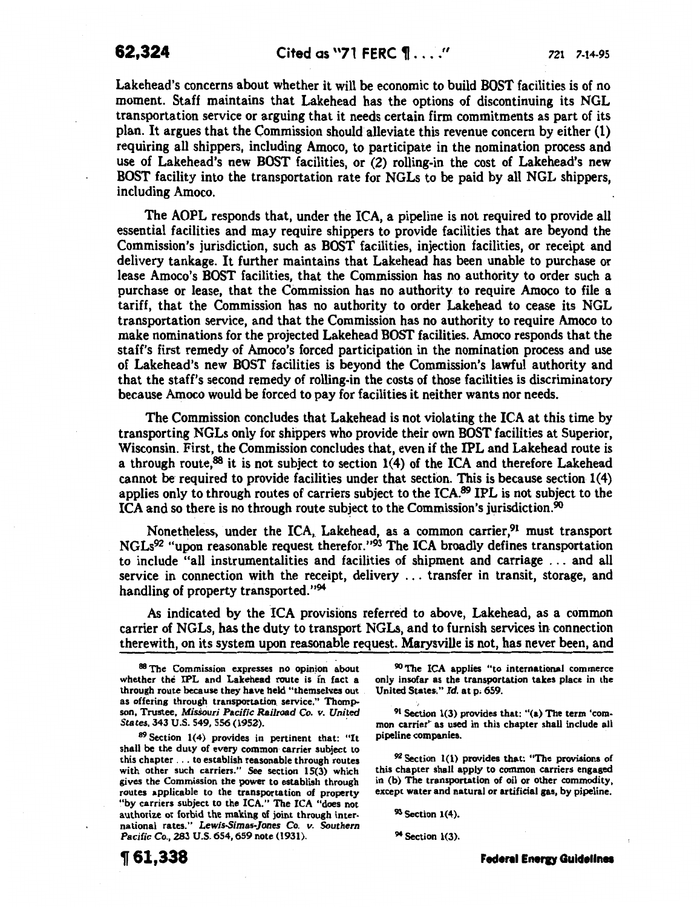Lakehead's concerns about whether it will be economic to build BOST facilities is of no moment. Staff maintains that Lakehead has the options of discontinuing its NGL transportation service or arguing that it needs certain firm commitments as part of its plan. It argues that the Commission should alleviate this revenue concern by either (1) requiring all shippers, including Amoco, to participate in the nomination process and use of Lakehead's new BOST facilities, or (2) rolling-in the cost of Lakehead's new BOST facility into the transportation rate for NGLs to be paid by all NGL shippers, including Amoco.

The AOPL responds that, under the ICA, a pipeline is not required to provide all essential facilities and may require shippers to provide facilities that are beyond the Commission's jurisdiction, such as BOST facilities, injection facilities, or receipt and delivery tankage. It further maintains that Lakehead has been unable to purchase or lease Amoco's BOST facilities, that the Commission has no authority to order such a purchase or lease, that the Commission has no authority to require Amoco to file a tariff, that the Commission has no authority to order Lakehead to cease its NGL transportation service, and that the Commission has no authority to require Amoco to make nominations for the projected Lakehead BOST facilities. Amoco responds that the staff's first remedy of Amoco's forced participation in the nomination process and use of Lakehead's new BOST facilities is beyond the Commission's lawful authority and that the staff's second remedy of rolling-in the costs of those facilities is discriminatory because Amoco would be forced to pay for facilities it neither wants nor needs.

The Commission concludes that Lakehead is not violating the ICA at this time by transporting NGLs only for shippers who provide their own BOST facilities at Superior, Wisconsin. First, the Commission concludes that, even if the IPL and Lakehead route is a through route,88 it is not subject to section 1(4) of the ICA and therefore Lakehead cannot be required to provide facilities under that section. This is because section  $1(4)$ applies only to through routes of carriers subject to the ICA.<sup>89</sup> IPL is not subject to the ICA and so there is no through route subject to the Commission's jurisdiction.<sup>90</sup>

Nonetheless, under the ICA, Lakehead, as a common carrier,<sup>91</sup> must transport NGLs92 "upon reasonable request therefor."93 The ICA broadly defines transportation to include "all instrumentalities and facilities of shipment and carriage . . . and all service in connection with the receipt, delivery . . . transfer in transit, storage, and handling of property transported."<sup>94</sup>

As indicated by the ICA provisions referred to above, Lakehead, as a common carrier of NGLs, has the duty to transport NGLs, and to furnish services in connection therewith, on its system upon reasonable request. Marysville is not, has never been, and

89 Section 1(4) provides in pertinent that: "It shall be the duty of every common carrier subject to this chapter ... to establish reasonable through routes with other such carriers." *See* section 15(3) which gives the Commission the power to establish through routes applicable to the transportation of property "by carriers subject to the ICA." The ICA "does not authorize or forbid the making of joint through international rates." *Lewis.Simas-]ones* Co. *v. Southern*  Pacific Co., 283 U.S. 654,659 note (1931).

90 The ICA applies "to international commerce only insofar as the transportation takes place in the United States." *Id.* at p; 659.

91 Section 1(3) provides that: "(a) The term 'common carrier<sup>\*</sup> as used in this chapter shall include all pipeline companies.

92 Section 1(1) provides that: "The provisions of this chapter shall apply to common carriers engaged in (b) The transportation of oil or other commodity, except water and natural or artificial gas, by pipeline.

93 Section 1(4).

94 Section 1(3).

Federal Energy Guidelines

<sup>88</sup> The Commission expresses no opinion about whether the IPL and Lakehead route is in fact a through route because they have held "themselves out as offering through transportation service." Thompson, Trustee, *Mis5Quri* Pacific *Railroad* Co. *v. United States,* 343 U.S. 549, 556 (195Z). ·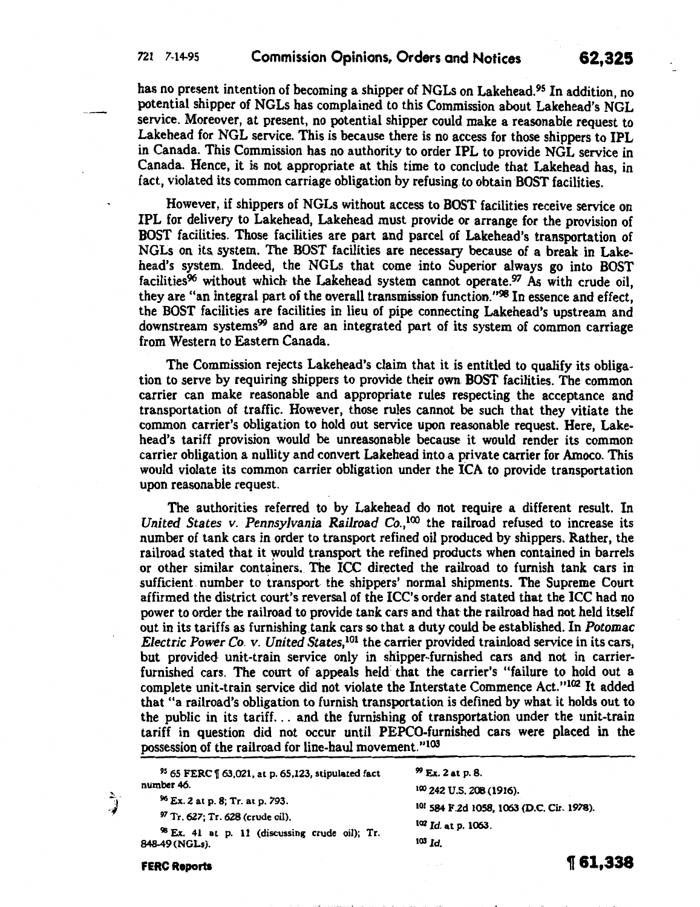has no present intention of becoming a shipper of NGLs on Lakehead.<sup>95</sup> In addition, no potential shipper of NGLs has complained to this Commission about Lakehead's NGL service. Moreover, at present, no potential shipper could make a reasonable request to Lakehead for NGL service. This is because there is no access for those shippers to IPL in Canada. This Commission has no authority to order IPL to provide NGL service in Canada. Hence, it is not appropriate at this time to conclude that Lakehead has, in fact, violated its common carriage obligation by refusing. to obtain BOST facilities.

However, if shippers of NGLs without access to BOST facilities receive service on IPL for delivery to Lakehead, Lakehead must provide or arrange for the provision of BOST facilities. Those facilities are part and parcel of Lakehead's transportation of NGLs on its system. The BOST facilities are necessary because of a break in Lakehead's system. Indeed, the NGLs that come into Superior always go into BOST facilities<sup>96</sup> without which the Lakehead system cannot operate.<sup>97</sup> As with crude oil, they are "an integral part of the overall transmission function. "98 In essence and effect, the BOST facilities are facilities in lieu of pipe connecting Lakehead's upstream and downstream systems<sup>99</sup> and are an integrated part of its system of common carriage from Western to Eastern Canada.

The Commission rejects Lakehead's claim that it is entitled to qualify its obligation to serve by requiring shippers to provide their own. BOST facilities. The common carrier can make reasonable and appropriate rules respecting the acceptance and transportation of traffic. However, those rules cannot be such that they vitiate the common carrier's obligation to hold out service upon reasonable request. Here, Lakehead's tariff provision would be unreasonable because it would render its common carrier obligation a nullity and convert Lakehead into a private carrier for Amoco. This would violate its common carrier obligation under the ICA to provide transportation upon reasonable request.

The authorities referred to by Lakehead do not require a different result. In *United States v. Pennsylvania Railroad Co.*,<sup>100</sup> the railroad refused to increase its number of tank cars in order to transport refined oil produced by shippers. Rather, the railroad stated that it would transport the refined products when contained in barrels or other similar containers. The ICC directed the railroad to furnish tank cars in sufficient. number to transport the shippers' normal shipments. The Supreme Court affirmed the district court's reversal of the ICC's order and stated that the ICC had no power to order the railroad to provide tank cars and that- the railroad had not held itself out in its tariffs as furnishing tank cars so that a duty could be established. In *Potomac Electric Power* Co. *v. United States,*101 the carrier provided trainload service in its cars, but provided- unit-train service only in shipper-furnished cars and not in carrierfurnished cars. The court of appeals held that the carrier's "failure to hold out a complete unit-train service did not violate the Interstate Commence Act."<sup>102</sup> It added that "a railroad's obligation to furnish transportation is defined by what it holds out to the public in its tariff ... and the furnishing of transportation under the unit-train tariff in question did not occur until PEPCO-furnished cars were placed in the possession of the railroad for line-haul movement."<sup>103</sup>

<sup>95</sup> 65 FERC | 63,021, at p. 65,123, stipulated fact number 46.

<sup>99</sup>Ex. 2 at p. 8.

- <sup>96</sup>Ex. 2 at p. 8; Tr. at p. 793.
- 97 Tr. 627; Tr. 628 (crude oil).

98 Ex. 41 at p. 11 (discussing crude oil); Tr. 848-49 (NGLs).

FERC Reports

د<br>پ

100 242 u.s. 208 (1916).

101 584 F.2d 1058, 1063 (D.C. Cir. 19?8).

102 *Id.* at p. 1063.

<sup>103</sup>*Id.* 

**1r 61,338**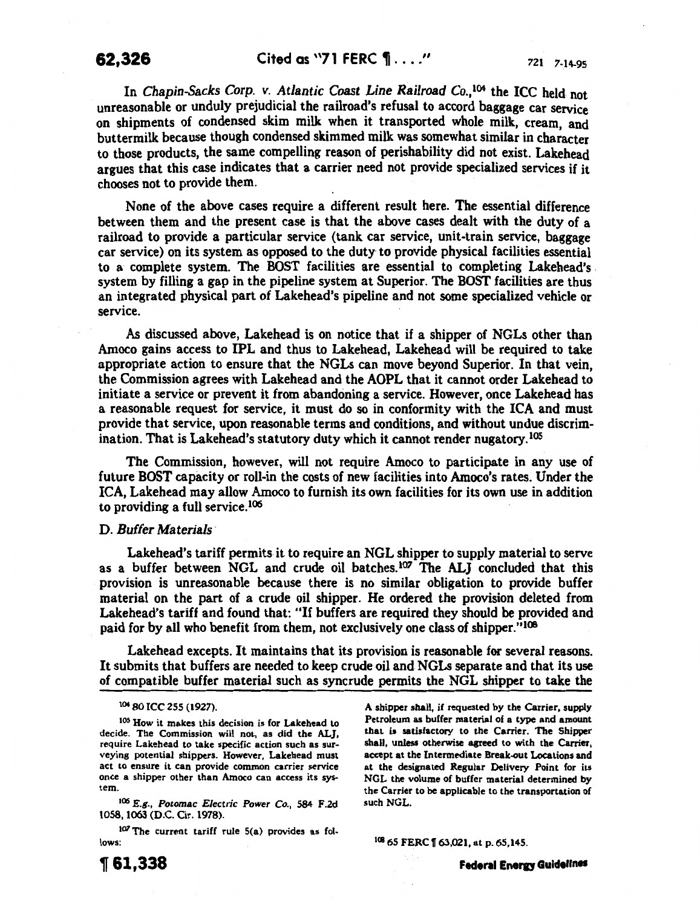In *Chapin-Sacks Corp. v. Atlantic Coast Line Railroad Co.*,<sup>104</sup> the ICC held not unreasonable or unduly prejudicial the railroad's refusal to accord baggage car service on shipments of condensed skim milk when it transported whole milk, cream, and buttermilk because though condensed skimmed milk was somewhat similar in character to those products, the same compelling reason of perishability did not exist. Lakehead argues that this case indicates that a carrier need not provide specialized services if it chooses not to provide them.

None of the above cases require a different result here. The essential difference between them and the present case is that the above cases dealt with the duty of a railroad to provide a particular service (tank car service, unit-train service, baggage car service) on its system as opposed to the duty to provide physical facilities essential to a complete system. The BOST facilities are essential to completing Lakehead's . system by filling a gap in the pipeline system at Superior. The BOST facilities are thus an integrated physical part of Lakehead's pipeline and not some specialized vehicle or service.

As discussed above, Lakehead is on notice that if a shipper of NGLs other than Amoco gains access to IPL and thus to Lakehead, Lakehead will be required to take appropriate action to ensure that the NGLs can move beyond Superior. In that vein, the Commission agrees with Lakehead and the AOPL that it cannot order Lakehead to initiate a service or prevent it from abandoning a service. However, once Lakehead has a reasonable request for service, it must do so in conformity with the ICA and must provide that service, upon reasonable terms and conditions, and without undue discrimination. That is Lakehead's statutory duty which it cannot render nugatory. <sup>105</sup>

The Commission, however, will not require Amoco to participate in any use of future BOST capacity or roll-in the costs of new facilities into Amoco's rates. Under the ICA, Lakehead may allow Amoco to furnish its own facilities for its own use in addition to providing a full service. 106

## D. *Buffer Materials·*

Lakehead's tariff permits it to require an NGL shipper to supply material to serve as a buffer between NGL and crude oil batches.<sup>107</sup> The ALJ concluded that this provision is unreasonable because there is no similar obligation to provide buffer material on the part of a crude oil shipper. He ordered the provision deleted from Lakehead's tariff and found that: "If buffers are required they should be provided and paid for by all who benefit from them, not exclusively one class of shipper."<sup>108</sup>

Lakehead excepts. It maintains that its provision is reasonable for several reasons. It submits that buffers are needed to keep crude oil and NGLs separate and that its use of compatible buffer material such as syncrude permits the NGL shipper to take the

<sup>106</sup>*E.g., Potomac Electric Power Co.,* 584 F.2d 1058, 1063 (D.C. Cir. 1978).

107 The current tariff rule 5(a) provides as follows:

A shipper shall, if requested by the Carrier, supply Petroleum as buffer material of a type and amount that is satisfactory to the Carrier. The Shipper shall, unless otherwise agreed to with the Carrier, accept at the Intermediate Break-out Locations and at the designated Regular Delivery Point for its NGL the volume of buffer material determined by the Carrier to be applicable to the transportation of such NGL.

108 65 FERC | 63,021, at p. 65,145.

Federal Energy Guidelines

<sup>104 80</sup> ICC 255 (1927).

<sup>105</sup> How it makes this decision is for Lakehead to decide. The Commission will not, as did the ALJ, require Lakehead to take specific action such as surveying potential shippers. However, Lakehead must act to ensure it can provide common carrier service once a shipper other than Amoco can access its system.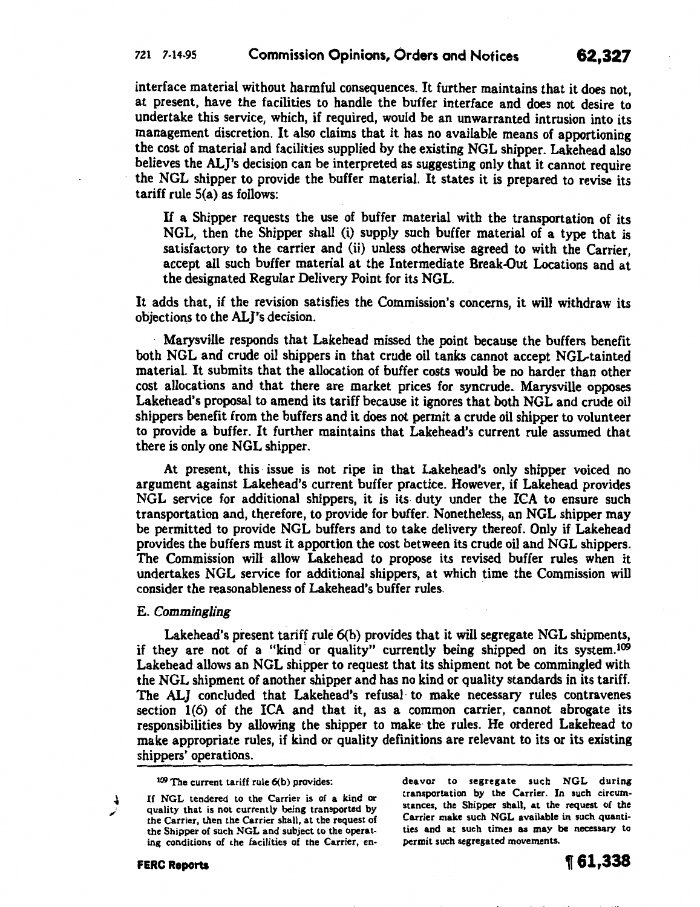interface material without harmful consequences. It further maintains that it does not, at present, have the facilities to handle the buffer interface and does not desire to undertake this service, which, if required, would be an unwarranted intrusion into its management discretion. It also claims that it has no available means of apportioning the cost of material and facilities supplied by the existing NGL shipper. Lakehead also believes the ALJ's decision can be interpreted as suggesting only that it cannot require the NGL shipper to provide the buffer material. It states it is prepared to revise its tariff rule S(a) as follows:

If a Shipper requests the use of buffer material with the transportation of its NGL, then the Shipper shall (i) supply such buffer material of a type that is satisfactory to the carrier and (ii) unless otherwise agreed to with the Carrier, accept all such buffer material at the Intermediate Break-Out Locations and at the designated Regular Delivery Point for its NGL.

It adds that, if the revision satisfies the Commission's concerns, it will withdraw its objections to the ALI's decision.

Marysville responds that Lakehead missed the point because the buffers benefit both NGL and crude oil shippers in that crude oil tanks cannot accept NGL-tainted material. It submits that the allocation of buffer costs would be no harder than other cost allocations and that there are market prices for syncrude. Marysville opposes Lakehead's proposal to amend its tariff because it ignores that both NGL and crude oil shippers benefit from the buffers and it does not permit a crude oil shipper to volunteer to provide a buffer. It further maintains that Lakehead's current rule assumed that there is only one NGL shipper.

At present, this issue is not ripe in that Lakehead's only shipper voiced no argument against Lakehead's current buffer practice. However, if Lakehead provides NGL service for additional shippers, it is its duty under the ICA to ensure such transportation and, therefore, to provide for buffer. Nonetheless, an NGL shipper may be permitted to provide NGL buffers and to take delivery thereof. Only if Lakehead provides the buffers must it apportion the cost between its crude oil and NGL shippers. The Commission will allow Lakehead to propose its revised buffer rules when it undertakes NGL service for additional shippers, at which time the Commission will consider the reasonableness of Lakehead's buffer rules. ·

## E. *Commingling*

Lakehead's present tariff rule 6(b) provides that it will segregate NGL shipments, if they are not of a "kind· or quality" currently being shipped on its system.109 Lakehead allows an NGL shipper to request that its shipment not be commingled with the NGL shipment of another shipper and has no kind or quality standards in its tariff. The ALJ concluded that Lakehead's refusal· to make necessary rules contravenes section 1(6) of the ICA and that it, as a common carrier, cannot abrogate its responsibilities by allowing the shipper to make the rules. He ordered Lakehead to make appropriate rules, if kind or quality definitions are relevant to its or its existing shippers' operations.

If NGL tendered to the Carrier is of a kind or quality that is not currently being transported by the Carrier, then the Carrier shall, at the request of the Shipper of such NGL and subject to the operat· ing conditions of the facilities of the Carrier, en·

deavor to segregate such NGL during transportation by the Carrier. In such circum· stances, the Shipper shall, at the request of the Carrier make such NGL available in such quanti· ties and at such times as may be necessary to permit such segregated movements.

 $109$  The current tariff rule  $6(b)$  provides: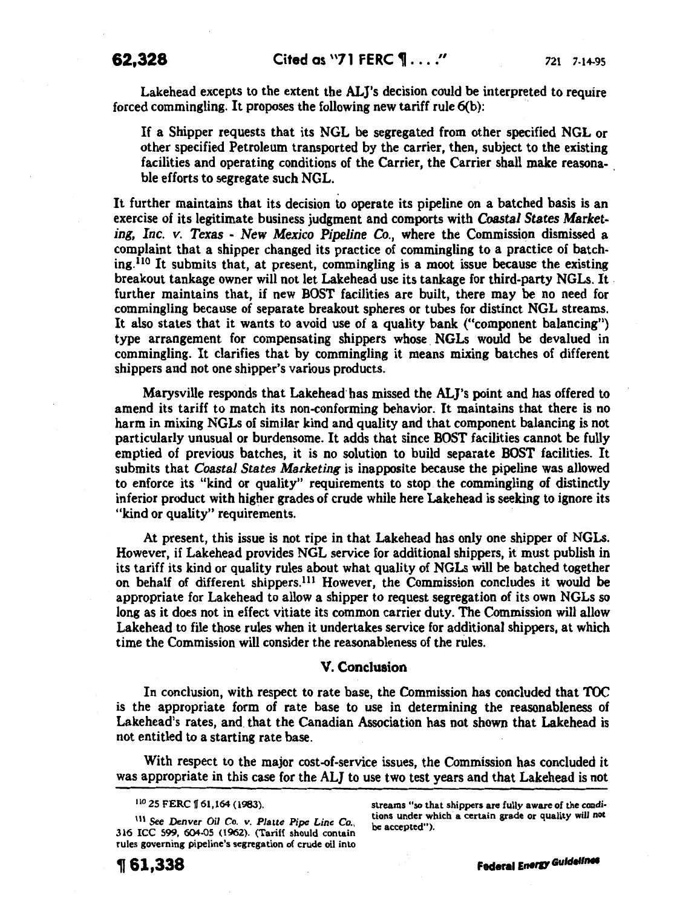Lakehead excepts to the extent the ALJ's decision could be interpreted to require forced commingling. It proposes the following new tariff rule  $6(b)$ :

If a Shipper requests that its NGL be segregated from other specified NGL or other specified Petroleum transported by the carrier, then, subject to the existing facilities and operating conditions of the Carrier, the Carrier shall make reasonable efforts to segregate such NGL.

It further maintains that its decision to operate its pipeline on a hatched basis is an exercise of its legitimate business judgment and comports with *Coastal States Marketing, Inc. v. Texas* - *New Mexico Pipeline* Co., where the Commission dismissed a complaint that a shipper changed its practice of commingling to a practice of batching.<sup>110</sup> It submits that, at present, commingling is a moot issue because the existing breakout tankage owner will not let Lakehead use its tankage for third-party NGLs. It . further maintains that, if new BOST facilities are built, there may be no need for commingling because of separate breakout spheres or tubes for distinct NGL streams. It also states that it wants to avoid use of a quality bank ("component balancing") type arrangement for compensating shippers whose NGLs would be devalued in commingling. It clarifies that by commingling it means mixing batches of different shippers and not one shipper's various products.

Marysville responds that Lakehead· has missed the ALJ's point and has offered to amend its tariff to match its non-conforming behavior. It maintains that there is no harm in mixing NGLs of similar kind and quality and that component balancing is not particularly unusual or burdensome. It adds that since BOST facilities cannot be fully emptied of previous batches, it is no solution to build separate BOST facilities. It submits that *Coastal States Marketing* is inapposite because the pipeline was allowed to enforce its "kind or quality" requirements to stop the commingling of distinctly inferior product with higher grades of crude while here Lakehead is seeking to ignore its "kind or quality" requirements.

At present, this issue is not ripe in that Lakehead has only one shipper of NGLs. However, if Lakehead provides NGL service for additional shippers, it must publish in its tariff its kind or quality rules about what quality of NGLs will be hatched together on behalf of different shippers. 111 However, the Commission concludes it would be appropriate for Lakehead to allow a shipper to request segregation of its own NGLs so long as it does not in effect vitiate its common carrier duty. The Commission will allow Lakehead to file those rules when it undertakes service for additional shippers, at which time the Commission will consider the reasonableness of the rules.

## V. Conclusion

In conclusion, with respect to rate base, the Commission has concluded that TOC is the appropriate form of rate base to use in determining the reasonableness of Lakehead's rates, and. that the Canadian Association has not shown that Lakehead is not entitled to a starting rate base.

With respect to the major cost-of-service issues, the Commission has concluded it was appropriate in this case for the ALJ to use two test years and that Lakehead is not

1\\ See *Denver Oil* Co. *v. Platte Pipe Line Co.,*  316 ICC 599, 604-05 (1962). (Tariff should contain rules governing pipeline's segregation of crude oil into

streams "so that shippers are fully aware of the condi· tions under which a certain grade or quality will *not*  be accepted").

<sup>110 25</sup> FERC | 61,164 (1983).